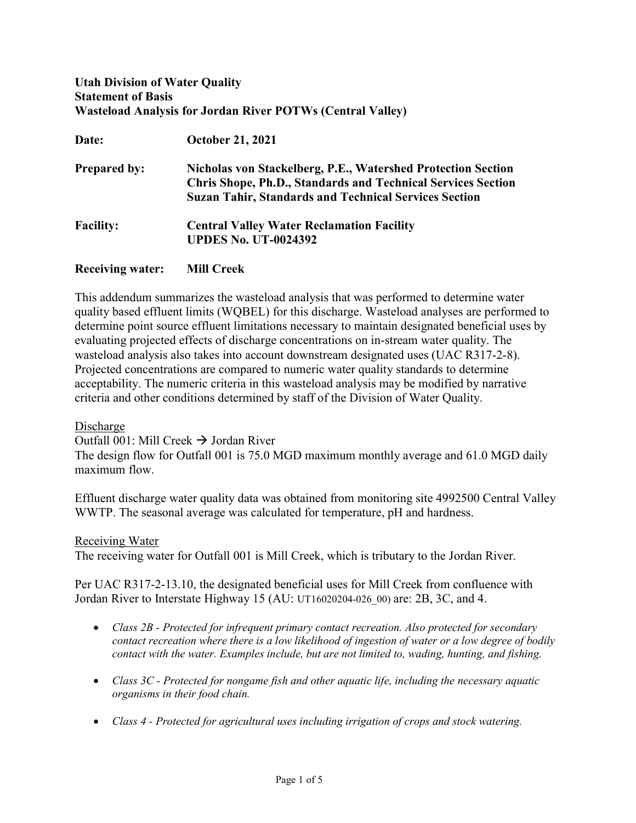# Utah Division of Water Quality Statement of Basis Wasteload Analysis for Jordan River POTWs (Central Valley)

| Date:                   | <b>October 21, 2021</b>                                                                                                                                                                             |
|-------------------------|-----------------------------------------------------------------------------------------------------------------------------------------------------------------------------------------------------|
| <b>Prepared by:</b>     | Nicholas von Stackelberg, P.E., Watershed Protection Section<br><b>Chris Shope, Ph.D., Standards and Technical Services Section</b><br><b>Suzan Tahir, Standards and Technical Services Section</b> |
| <b>Facility:</b>        | <b>Central Valley Water Reclamation Facility</b><br><b>UPDES No. UT-0024392</b>                                                                                                                     |
| <b>Receiving water:</b> | <b>Mill Creek</b>                                                                                                                                                                                   |

This addendum summarizes the wasteload analysis that was performed to determine water quality based effluent limits (WQBEL) for this discharge. Wasteload analyses are performed to determine point source effluent limitations necessary to maintain designated beneficial uses by evaluating projected effects of discharge concentrations on in-stream water quality. The wasteload analysis also takes into account downstream designated uses (UAC R317-2-8). Projected concentrations are compared to numeric water quality standards to determine acceptability. The numeric criteria in this wasteload analysis may be modified by narrative criteria and other conditions determined by staff of the Division of Water Quality.

Discharge

Outfall 001: Mill Creek  $\rightarrow$  Jordan River

The design flow for Outfall 001 is 75.0 MGD maximum monthly average and 61.0 MGD daily maximum flow.

Effluent discharge water quality data was obtained from monitoring site 4992500 Central Valley WWTP. The seasonal average was calculated for temperature, pH and hardness.

## Receiving Water

The receiving water for Outfall 001 is Mill Creek, which is tributary to the Jordan River.

Per UAC R317-2-13.10, the designated beneficial uses for Mill Creek from confluence with Jordan River to Interstate Highway 15 (AU: UT16020204-026\_00) are: 2B, 3C, and 4.

- Class 2B Protected for infrequent primary contact recreation. Also protected for secondary contact recreation where there is a low likelihood of ingestion of water or a low degree of bodily contact with the water. Examples include, but are not limited to, wading, hunting, and fishing.
- Class  $3C$  Protected for nongame fish and other aquatic life, including the necessary aquatic organisms in their food chain.
- Class 4 Protected for agricultural uses including irrigation of crops and stock watering.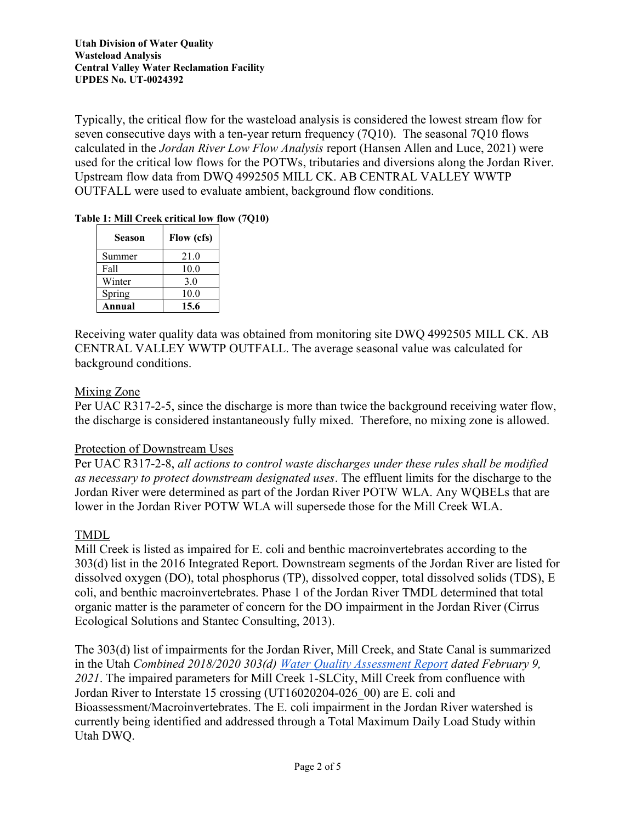Typically, the critical flow for the wasteload analysis is considered the lowest stream flow for seven consecutive days with a ten-year return frequency (7Q10). The seasonal 7Q10 flows calculated in the Jordan River Low Flow Analysis report (Hansen Allen and Luce, 2021) were used for the critical low flows for the POTWs, tributaries and diversions along the Jordan River. Upstream flow data from DWQ 4992505 MILL CK. AB CENTRAL VALLEY WWTP OUTFALL were used to evaluate ambient, background flow conditions.

## Table 1: Mill Creek critical low flow (7Q10)

| <b>Season</b> | Flow (cfs) |
|---------------|------------|
| Summer        | 21.0       |
| Fall          | 10.0       |
| Winter        | 3.0        |
| Spring        | 10.0       |
| Annual        | 15.6       |

Receiving water quality data was obtained from monitoring site DWQ 4992505 MILL CK. AB CENTRAL VALLEY WWTP OUTFALL. The average seasonal value was calculated for background conditions.

# Mixing Zone

Per UAC R317-2-5, since the discharge is more than twice the background receiving water flow, the discharge is considered instantaneously fully mixed. Therefore, no mixing zone is allowed.

## Protection of Downstream Uses

Per UAC R317-2-8, all actions to control waste discharges under these rules shall be modified as necessary to protect downstream designated uses. The effluent limits for the discharge to the Jordan River were determined as part of the Jordan River POTW WLA. Any WQBELs that are lower in the Jordan River POTW WLA will supersede those for the Mill Creek WLA.

# TMDL

Mill Creek is listed as impaired for E. coli and benthic macroinvertebrates according to the 303(d) list in the 2016 Integrated Report. Downstream segments of the Jordan River are listed for dissolved oxygen (DO), total phosphorus (TP), dissolved copper, total dissolved solids (TDS), E coli, and benthic macroinvertebrates. Phase 1 of the Jordan River TMDL determined that total organic matter is the parameter of concern for the DO impairment in the Jordan River (Cirrus Ecological Solutions and Stantec Consulting, 2013).

The 303(d) list of impairments for the Jordan River, Mill Creek, and State Canal is summarized in the Utah Combined 2018/2020 303(d) Water Quality Assessment Report dated February 9, 2021. The impaired parameters for Mill Creek 1-SLCity, Mill Creek from confluence with Jordan River to Interstate 15 crossing (UT16020204-026\_00) are E. coli and Bioassessment/Macroinvertebrates. The E. coli impairment in the Jordan River watershed is currently being identified and addressed through a Total Maximum Daily Load Study within Utah DWQ.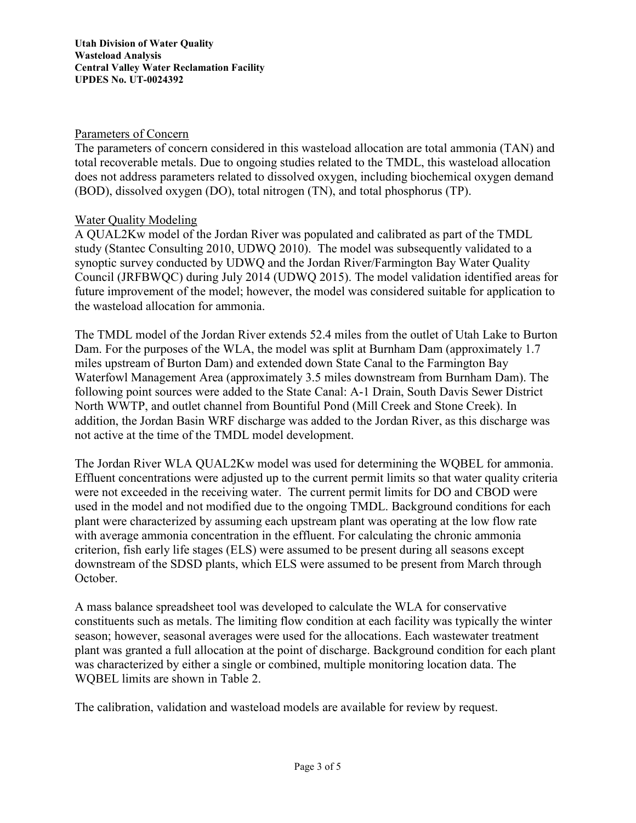Utah Division of Water Quality Wasteload Analysis Central Valley Water Reclamation Facility UPDES No. UT-0024392

## Parameters of Concern

The parameters of concern considered in this wasteload allocation are total ammonia (TAN) and total recoverable metals. Due to ongoing studies related to the TMDL, this wasteload allocation does not address parameters related to dissolved oxygen, including biochemical oxygen demand (BOD), dissolved oxygen (DO), total nitrogen (TN), and total phosphorus (TP).

## Water Quality Modeling

A QUAL2Kw model of the Jordan River was populated and calibrated as part of the TMDL study (Stantec Consulting 2010, UDWQ 2010). The model was subsequently validated to a synoptic survey conducted by UDWQ and the Jordan River/Farmington Bay Water Quality Council (JRFBWQC) during July 2014 (UDWQ 2015). The model validation identified areas for future improvement of the model; however, the model was considered suitable for application to the wasteload allocation for ammonia.

The TMDL model of the Jordan River extends 52.4 miles from the outlet of Utah Lake to Burton Dam. For the purposes of the WLA, the model was split at Burnham Dam (approximately 1.7 miles upstream of Burton Dam) and extended down State Canal to the Farmington Bay Waterfowl Management Area (approximately 3.5 miles downstream from Burnham Dam). The following point sources were added to the State Canal: A-1 Drain, South Davis Sewer District North WWTP, and outlet channel from Bountiful Pond (Mill Creek and Stone Creek). In addition, the Jordan Basin WRF discharge was added to the Jordan River, as this discharge was not active at the time of the TMDL model development.

The Jordan River WLA QUAL2Kw model was used for determining the WQBEL for ammonia. Effluent concentrations were adjusted up to the current permit limits so that water quality criteria were not exceeded in the receiving water. The current permit limits for DO and CBOD were used in the model and not modified due to the ongoing TMDL. Background conditions for each plant were characterized by assuming each upstream plant was operating at the low flow rate with average ammonia concentration in the effluent. For calculating the chronic ammonia criterion, fish early life stages (ELS) were assumed to be present during all seasons except downstream of the SDSD plants, which ELS were assumed to be present from March through October.

A mass balance spreadsheet tool was developed to calculate the WLA for conservative constituents such as metals. The limiting flow condition at each facility was typically the winter season; however, seasonal averages were used for the allocations. Each wastewater treatment plant was granted a full allocation at the point of discharge. Background condition for each plant was characterized by either a single or combined, multiple monitoring location data. The WQBEL limits are shown in Table 2.

The calibration, validation and wasteload models are available for review by request.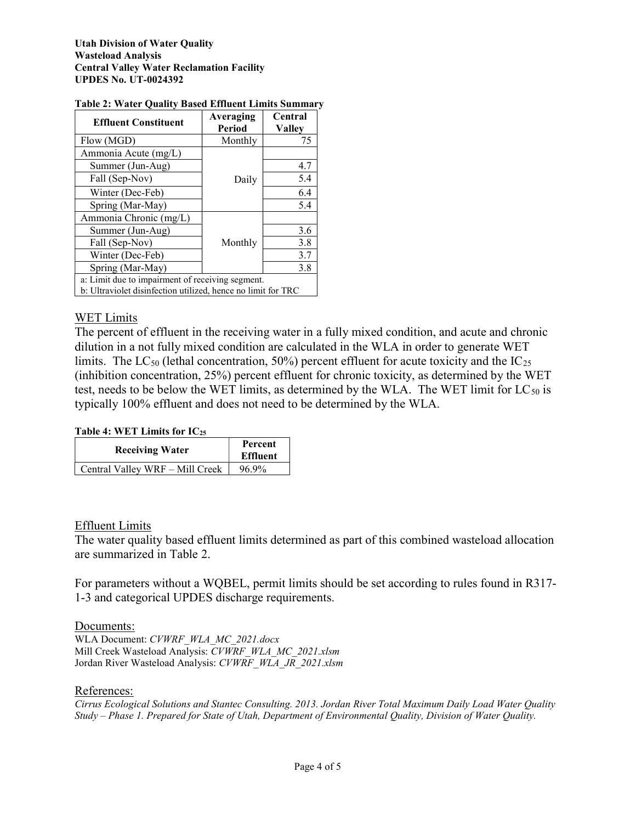| <b>Effluent Constituent</b>                                                                                      | Averaging<br>Period | Central<br><b>Valley</b> |  |  |
|------------------------------------------------------------------------------------------------------------------|---------------------|--------------------------|--|--|
| Flow (MGD)                                                                                                       | Monthly             | 75                       |  |  |
| Ammonia Acute (mg/L)                                                                                             |                     |                          |  |  |
| Summer (Jun-Aug)                                                                                                 |                     | 4.7                      |  |  |
| Fall (Sep-Nov)                                                                                                   | Daily               | 5.4                      |  |  |
| Winter (Dec-Feb)                                                                                                 |                     | 6.4                      |  |  |
| Spring (Mar-May)                                                                                                 |                     | 5.4                      |  |  |
| Ammonia Chronic (mg/L)                                                                                           |                     |                          |  |  |
| Summer (Jun-Aug)                                                                                                 |                     | 3.6                      |  |  |
| Fall (Sep-Nov)                                                                                                   | Monthly             | 3.8                      |  |  |
| Winter (Dec-Feb)                                                                                                 |                     | 3.7                      |  |  |
| Spring (Mar-May)                                                                                                 |                     | 3.8                      |  |  |
| a: Limit due to impairment of receiving segment.<br>b: Ultraviolet disinfection utilized, hence no limit for TRC |                     |                          |  |  |

## Table 2: Water Quality Based Effluent Limits Summary

## WET Limits

The percent of effluent in the receiving water in a fully mixed condition, and acute and chronic dilution in a not fully mixed condition are calculated in the WLA in order to generate WET limits. The LC<sub>50</sub> (lethal concentration, 50%) percent effluent for acute toxicity and the  $IC_{25}$ (inhibition concentration, 25%) percent effluent for chronic toxicity, as determined by the WET test, needs to be below the WET limits, as determined by the WLA. The WET limit for  $LC_{50}$  is typically 100% effluent and does not need to be determined by the WLA.

## Table 4: WET Limits for IC<sup>25</sup>

| <b>Receiving Water</b>          | Percent<br><b>Effluent</b> |
|---------------------------------|----------------------------|
| Central Valley WRF - Mill Creek | 96.9%                      |

## Effluent Limits

The water quality based effluent limits determined as part of this combined wasteload allocation are summarized in Table 2.

For parameters without a WQBEL, permit limits should be set according to rules found in R317- 1-3 and categorical UPDES discharge requirements.

## Documents:

WLA Document: CVWRF\_WLA\_MC\_2021.docx Mill Creek Wasteload Analysis: CVWRF\_WLA\_MC\_2021.xlsm Jordan River Wasteload Analysis: CVWRF\_WLA\_JR\_2021.xlsm

## References:

Cirrus Ecological Solutions and Stantec Consulting. 2013. Jordan River Total Maximum Daily Load Water Quality Study – Phase 1. Prepared for State of Utah, Department of Environmental Quality, Division of Water Quality.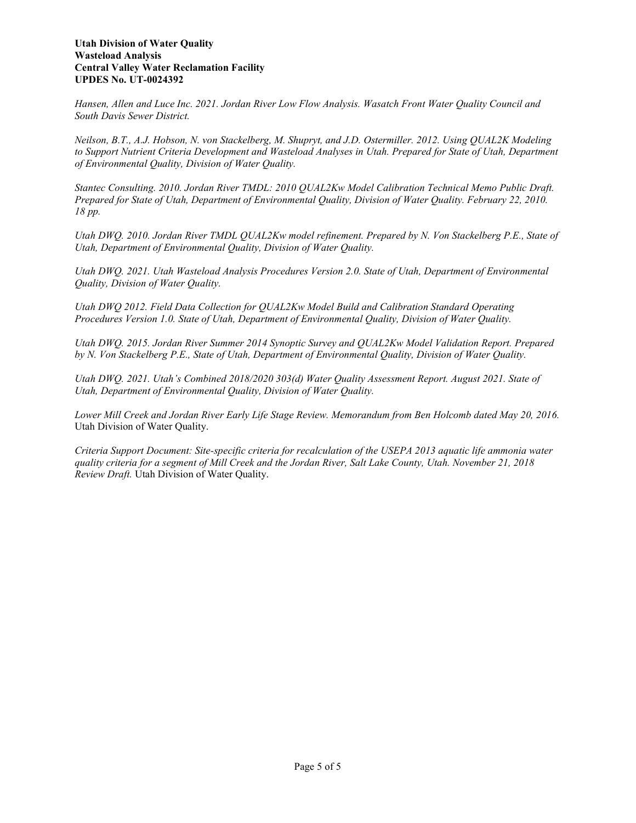Hansen, Allen and Luce Inc. 2021. Jordan River Low Flow Analysis. Wasatch Front Water Quality Council and South Davis Sewer District.

Neilson, B.T., A.J. Hobson, N. von Stackelberg, M. Shupryt, and J.D. Ostermiller. 2012. Using QUAL2K Modeling to Support Nutrient Criteria Development and Wasteload Analyses in Utah. Prepared for State of Utah, Department of Environmental Quality, Division of Water Quality.

Stantec Consulting. 2010. Jordan River TMDL: 2010 QUAL2Kw Model Calibration Technical Memo Public Draft. Prepared for State of Utah, Department of Environmental Quality, Division of Water Quality. February 22, 2010. 18 pp.

Utah DWQ. 2010. Jordan River TMDL QUAL2Kw model refinement. Prepared by N. Von Stackelberg P.E., State of Utah, Department of Environmental Quality, Division of Water Quality.

Utah DWQ. 2021. Utah Wasteload Analysis Procedures Version 2.0. State of Utah, Department of Environmental Quality, Division of Water Quality.

Utah DWQ 2012. Field Data Collection for QUAL2Kw Model Build and Calibration Standard Operating Procedures Version 1.0. State of Utah, Department of Environmental Quality, Division of Water Quality.

Utah DWQ. 2015. Jordan River Summer 2014 Synoptic Survey and QUAL2Kw Model Validation Report. Prepared by N. Von Stackelberg P.E., State of Utah, Department of Environmental Quality, Division of Water Quality.

Utah DWQ. 2021. Utah's Combined 2018/2020 303(d) Water Quality Assessment Report. August 2021. State of Utah, Department of Environmental Quality, Division of Water Quality.

Lower Mill Creek and Jordan River Early Life Stage Review. Memorandum from Ben Holcomb dated May 20, 2016. Utah Division of Water Quality.

Criteria Support Document: Site-specific criteria for recalculation of the USEPA 2013 aquatic life ammonia water quality criteria for a segment of Mill Creek and the Jordan River, Salt Lake County, Utah. November 21, 2018 Review Draft. Utah Division of Water Quality.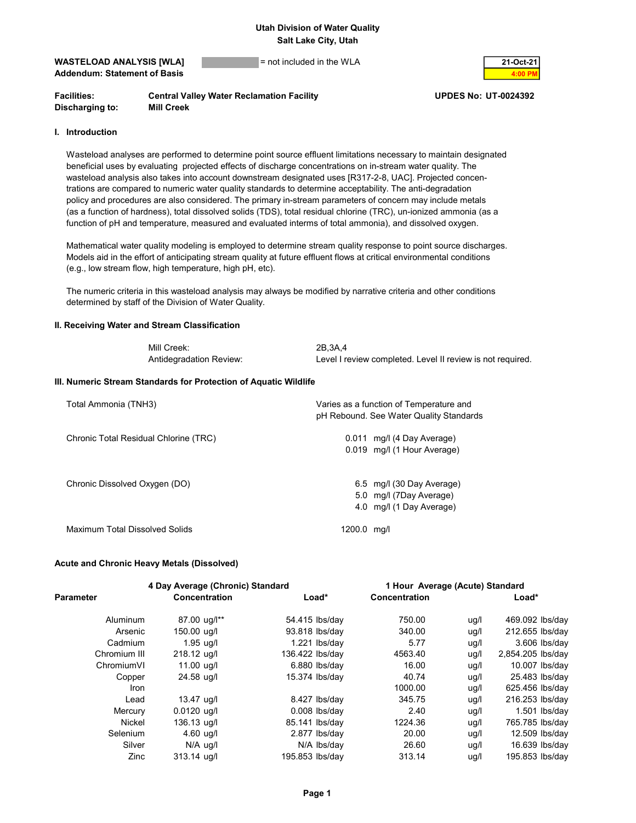#### $WASTELOAD ANALYSIS [WLA]$  = not included in the WLA Addendum: Statement of Basis

| 21-Oct-21 |
|-----------|
|           |

| <b>Facilities:</b> | <b>Central Valley Water Reclamation Facility</b> |
|--------------------|--------------------------------------------------|
| Discharging to:    | <b>Mill Creek</b>                                |

#### UPDES No: UT-0024392

#### I. Introduction

 Wasteload analyses are performed to determine point source effluent limitations necessary to maintain designated beneficial uses by evaluating projected effects of discharge concentrations on in-stream water quality. The wasteload analysis also takes into account downstream designated uses [R317-2-8, UAC]. Projected concen trations are compared to numeric water quality standards to determine acceptability. The anti-degradation policy and procedures are also considered. The primary in-stream parameters of concern may include metals (as a function of hardness), total dissolved solids (TDS), total residual chlorine (TRC), un-ionized ammonia (as a function of pH and temperature, measured and evaluated interms of total ammonia), and dissolved oxygen.

 Mathematical water quality modeling is employed to determine stream quality response to point source discharges. Models aid in the effort of anticipating stream quality at future effluent flows at critical environmental conditions (e.g., low stream flow, high temperature, high pH, etc).

 The numeric criteria in this wasteload analysis may always be modified by narrative criteria and other conditions determined by staff of the Division of Water Quality.

#### II. Receiving Water and Stream Classification

| Mill Creek:             | 2B.3A.4                                                    |
|-------------------------|------------------------------------------------------------|
| Antidegradation Review: | Level I review completed. Level II review is not required. |

#### III. Numeric Stream Standards for Protection of Aquatic Wildlife

| Total Ammonia (TNH3)                  | Varies as a function of Temperature and<br>pH Rebound. See Water Quality Standards |
|---------------------------------------|------------------------------------------------------------------------------------|
| Chronic Total Residual Chlorine (TRC) | 0.011 mg/l (4 Day Average)<br>0.019 mg/l (1 Hour Average)                          |
| Chronic Dissolved Oxygen (DO)         | 6.5 mg/l (30 Day Average)<br>5.0 mg/l (7Day Average)<br>4.0 mg/l (1 Day Average)   |
| Maximum Total Dissolved Solids        | 1200.0 mg/l                                                                        |

#### Acute and Chronic Heavy Metals (Dissolved)

|                  | 4 Day Average (Chronic) Standard |                 |                 |                      | 1 Hour Average (Acute) Standard |                   |
|------------------|----------------------------------|-----------------|-----------------|----------------------|---------------------------------|-------------------|
| <b>Parameter</b> | <b>Concentration</b>             |                 | Load*           | <b>Concentration</b> |                                 | Load*             |
| Aluminum         | 87.00 ug/l**                     | 54.415 lbs/day  |                 | 750.00               | ug/l                            | 469.092 lbs/day   |
| Arsenic          | 150.00 ug/l                      | 93.818 lbs/day  |                 | 340.00               | ug/l                            | 212.655 lbs/day   |
| Cadmium          | $1.95$ ug/l                      |                 | $1.221$ lbs/day | 5.77                 | ug/l                            | $3.606$ lbs/day   |
| Chromium III     | 218.12 ug/l                      | 136.422 lbs/day |                 | 4563.40              | ug/l                            | 2,854.205 lbs/day |
| ChromiumVI       | 11.00 ug/l                       |                 | $6.880$ lbs/day | 16.00                | ug/l                            | 10.007 lbs/day    |
| Copper           | 24.58 ug/l                       | 15.374 lbs/day  |                 | 40.74                | ug/l                            | 25.483 lbs/day    |
| Iron             |                                  |                 |                 | 1000.00              | ug/l                            | 625.456 lbs/day   |
| Lead             | 13.47 ug/l                       |                 | 8.427 lbs/day   | 345.75               | ug/l                            | 216.253 lbs/day   |
| Mercury          | $0.0120$ ug/l                    |                 | $0.008$ lbs/day | 2.40                 | ug/l                            | $1.501$ lbs/day   |
| <b>Nickel</b>    | 136.13 ug/l                      | 85.141 lbs/day  |                 | 1224.36              | ug/l                            | 765.785 lbs/day   |
| Selenium         | $4.60$ ug/l                      |                 | $2.877$ lbs/day | 20.00                | ug/l                            | 12.509 lbs/day    |
| Silver           | $N/A$ ug/l                       |                 | N/A lbs/day     | 26.60                | ug/l                            | 16.639 lbs/day    |
| Zinc             | 313.14 ug/l                      | 195.853 lbs/day |                 | 313.14               | ug/l                            | 195.853 lbs/day   |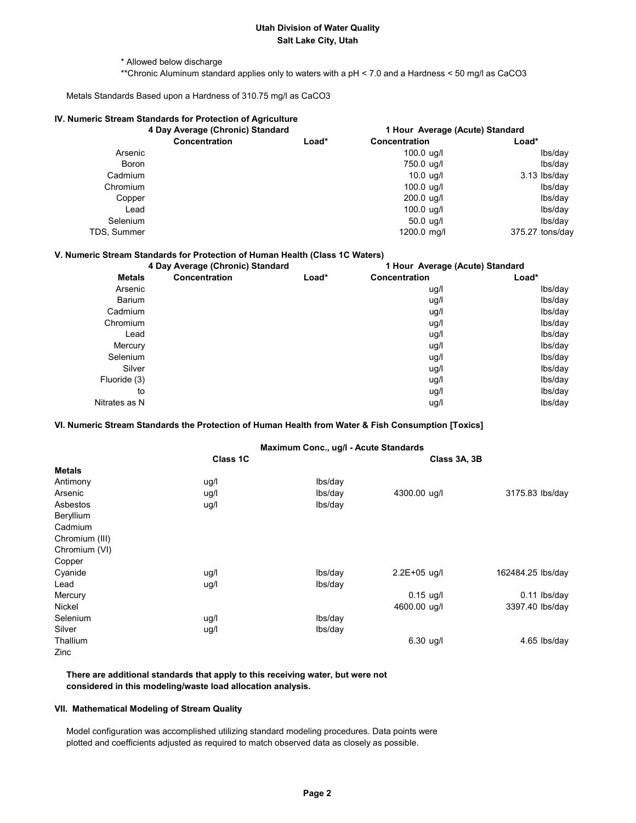\* Allowed below discharge

\*\*Chronic Aluminum standard applies only to waters with a pH < 7.0 and a Hardness < 50 mg/l as CaCO3

Metals Standards Based upon a Hardness of 310.75 mg/l as CaCO3

| 4 Day Average (Chronic) Standard |         | 1 Hour Average (Acute) Standard                            |                 |  |
|----------------------------------|---------|------------------------------------------------------------|-----------------|--|
| <b>Concentration</b>             | $Load*$ | Concentration                                              | Load*           |  |
|                                  |         | $100.0 \text{ uq/l}$                                       | lbs/day         |  |
|                                  |         | 750.0 ug/l                                                 | lbs/day         |  |
|                                  |         | $10.0$ ug/l                                                | 3.13 lbs/day    |  |
|                                  |         | $100.0 \text{ uq/l}$                                       | lbs/day         |  |
|                                  |         | $200.0$ ug/l                                               | lbs/day         |  |
|                                  |         | $100.0 \text{ u}g/l$                                       | lbs/day         |  |
|                                  |         | $50.0 \text{ uq/l}$                                        | lbs/day         |  |
|                                  |         | 1200.0 mg/l                                                | 375.27 tons/day |  |
|                                  |         | IV. Numeric Stream Standards for Protection of Agriculture |                 |  |

#### V. Numeric Stream Standards for Protection of Human Health (Class 1C Waters)

| 4 Day Average (Chronic) Standard |               | 1 Hour Average (Acute) Standard |                      |         |
|----------------------------------|---------------|---------------------------------|----------------------|---------|
| <b>Metals</b>                    | Concentration | Load*                           | <b>Concentration</b> | Load*   |
| Arsenic                          |               |                                 | ug/l                 | Ibs/day |
| Barium                           |               |                                 | ug/l                 | Ibs/day |
| Cadmium                          |               |                                 | ug/l                 | lbs/day |
| Chromium                         |               |                                 | ug/l                 | lbs/day |
| Lead                             |               |                                 | ug/l                 | lbs/day |
| Mercury                          |               |                                 | ug/l                 | Ibs/day |
| Selenium                         |               |                                 | ug/l                 | lbs/day |
| Silver                           |               |                                 | ug/l                 | lbs/day |
| Fluoride (3)                     |               |                                 | ug/l                 | lbs/day |
| to                               |               |                                 | uq/l                 | lbs/day |
| Nitrates as N                    |               |                                 | ug/l                 | lbs/day |

#### VI. Numeric Stream Standards the Protection of Human Health from Water & Fish Consumption [Toxics]

#### Maximum Conc., ug/l - Acute Standards

|                | Class 1C |         | Class 3A, 3B     |                   |  |
|----------------|----------|---------|------------------|-------------------|--|
| <b>Metals</b>  |          |         |                  |                   |  |
| Antimony       | ug/l     | lbs/day |                  |                   |  |
| Arsenic        | ug/l     | lbs/day | 4300.00 ug/l     | 3175.83 lbs/day   |  |
| Asbestos       | ug/l     | lbs/day |                  |                   |  |
| Beryllium      |          |         |                  |                   |  |
| Cadmium        |          |         |                  |                   |  |
| Chromium (III) |          |         |                  |                   |  |
| Chromium (VI)  |          |         |                  |                   |  |
| Copper         |          |         |                  |                   |  |
| Cyanide        | ug/l     | lbs/day | $2.2E + 05$ ug/l | 162484.25 lbs/day |  |
| Lead           | ug/l     | lbs/day |                  |                   |  |
| Mercury        |          |         | $0.15$ ug/l      | $0.11$ lbs/day    |  |
| Nickel         |          |         | 4600.00 ug/l     | 3397.40 lbs/day   |  |
| Selenium       | ug/l     | lbs/day |                  |                   |  |
| Silver         | ug/l     | lbs/day |                  |                   |  |
| Thallium       |          |         | $6.30$ ug/l      | 4.65 lbs/day      |  |
| Zinc           |          |         |                  |                   |  |

 There are additional standards that apply to this receiving water, but were not considered in this modeling/waste load allocation analysis.

## VII. Mathematical Modeling of Stream Quality

 Model configuration was accomplished utilizing standard modeling procedures. Data points were plotted and coefficients adjusted as required to match observed data as closely as possible.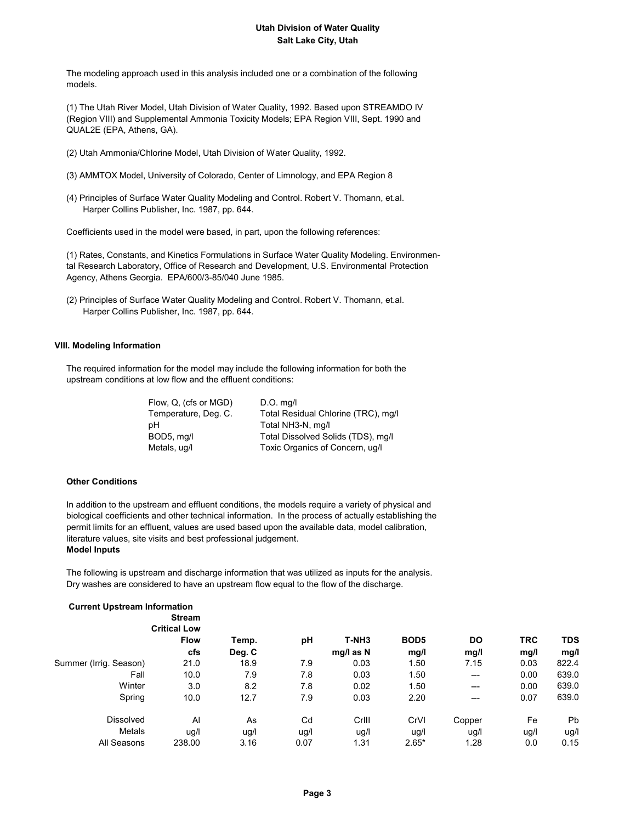The modeling approach used in this analysis included one or a combination of the following models.

 (1) The Utah River Model, Utah Division of Water Quality, 1992. Based upon STREAMDO IV (Region VIII) and Supplemental Ammonia Toxicity Models; EPA Region VIII, Sept. 1990 and QUAL2E (EPA, Athens, GA).

- (2) Utah Ammonia/Chlorine Model, Utah Division of Water Quality, 1992.
- (3) AMMTOX Model, University of Colorado, Center of Limnology, and EPA Region 8
- (4) Principles of Surface Water Quality Modeling and Control. Robert V. Thomann, et.al. Harper Collins Publisher, Inc. 1987, pp. 644.

Coefficients used in the model were based, in part, upon the following references:

 (1) Rates, Constants, and Kinetics Formulations in Surface Water Quality Modeling. Environmen tal Research Laboratory, Office of Research and Development, U.S. Environmental Protection Agency, Athens Georgia. EPA/600/3-85/040 June 1985.

 (2) Principles of Surface Water Quality Modeling and Control. Robert V. Thomann, et.al. Harper Collins Publisher, Inc. 1987, pp. 644.

### VIII. Modeling Information

 The required information for the model may include the following information for both the upstream conditions at low flow and the effluent conditions:

| Flow, Q. (cfs or MGD) | $D.O.$ mg/l                         |
|-----------------------|-------------------------------------|
| Temperature, Deg. C.  | Total Residual Chlorine (TRC), mg/l |
| pН                    | Total NH3-N, mg/l                   |
| BOD5, mg/l            | Total Dissolved Solids (TDS), mg/l  |
| Metals, ug/l          | Toxic Organics of Concern, ug/l     |

#### Other Conditions

 In addition to the upstream and effluent conditions, the models require a variety of physical and biological coefficients and other technical information. In the process of actually establishing the permit limits for an effluent, values are used based upon the available data, model calibration, literature values, site visits and best professional judgement. Model Inputs

 The following is upstream and discharge information that was utilized as inputs for the analysis. Dry washes are considered to have an upstream flow equal to the flow of the discharge.

| <b>Current Upstream Information</b> | <b>Stream</b>       |        |      |           |                  |           |            |            |
|-------------------------------------|---------------------|--------|------|-----------|------------------|-----------|------------|------------|
|                                     | <b>Critical Low</b> |        |      |           |                  |           |            |            |
|                                     | <b>Flow</b>         | Temp.  | pH   | T-NH3     | BOD <sub>5</sub> | <b>DO</b> | <b>TRC</b> | <b>TDS</b> |
|                                     | cfs                 | Deg. C |      | mg/l as N | mg/l             | mg/l      | mg/l       | mg/l       |
| Summer (Irrig. Season)              | 21.0                | 18.9   | 7.9  | 0.03      | 1.50             | 7.15      | 0.03       | 822.4      |
| Fall                                | 10.0                | 7.9    | 7.8  | 0.03      | 1.50             | ---       | 0.00       | 639.0      |
| Winter                              | 3.0                 | 8.2    | 7.8  | 0.02      | 1.50             | ---       | 0.00       | 639.0      |
| Spring                              | 10.0                | 12.7   | 7.9  | 0.03      | 2.20             | ---       | 0.07       | 639.0      |
| <b>Dissolved</b>                    | Al                  | As     | Cd   | Crill     | CrVI             | Copper    | Fe         | Pb         |
| Metals                              | uq/l                | ug/l   | ug/l | ug/l      | ug/l             | ug/l      | ug/l       | ug/l       |
| All Seasons                         | 238.00              | 3.16   | 0.07 | 1.31      | $2.65*$          | 1.28      | 0.0        | 0.15       |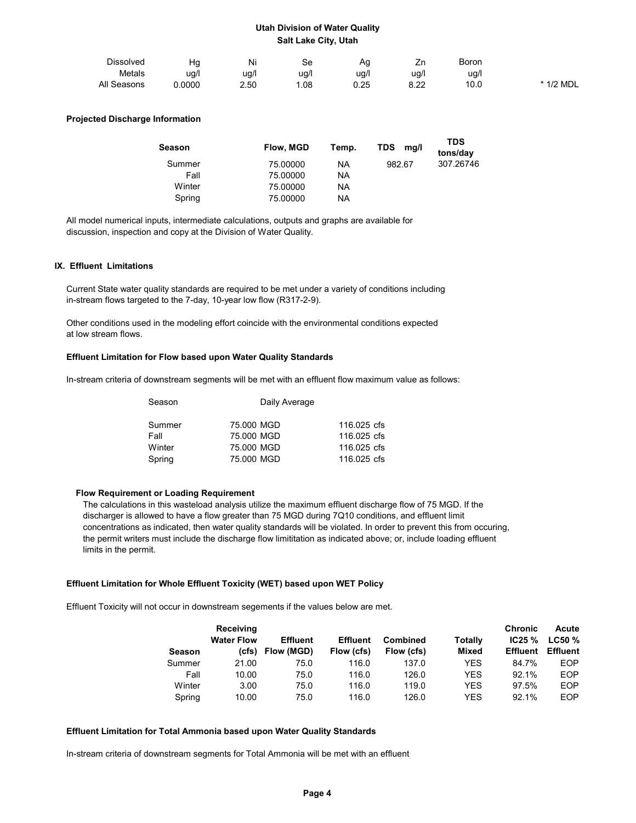| Dissolved   | Ha     | Ni   | Se   | ny.          | -<br>ᅬ     | Boron |           |
|-------------|--------|------|------|--------------|------------|-------|-----------|
| Metals      | ug/l   | ug/l | ug/i | ug/l         | ug/l       | ug/l  |           |
| All Seasons | 0.0000 | 2.50 | .08  | ሰ ኃნ<br>v.zu | ററ<br>0.ZZ | 10.0  | * 1/2 MDL |

### Projected Discharge Information

| Season | Flow, MGD | Temp. | <b>TDS</b><br>mq/l | <b>TDS</b><br>tons/day |
|--------|-----------|-------|--------------------|------------------------|
| Summer | 75,00000  | ΝA    | 982.67             | 307.26746              |
| Fall   | 75,00000  | ΝA    |                    |                        |
| Winter | 75,00000  | ΝA    |                    |                        |
| Spring | 75.00000  | ΝA    |                    |                        |

 All model numerical inputs, intermediate calculations, outputs and graphs are available for discussion, inspection and copy at the Division of Water Quality.

#### IX. Effluent Limitations

 Current State water quality standards are required to be met under a variety of conditions including in-stream flows targeted to the 7-day, 10-year low flow (R317-2-9).

 Other conditions used in the modeling effort coincide with the environmental conditions expected at low stream flows.

#### Effluent Limitation for Flow based upon Water Quality Standards

In-stream criteria of downstream segments will be met with an effluent flow maximum value as follows:

| Season | Daily Average |             |  |  |  |
|--------|---------------|-------------|--|--|--|
| Summer | 75,000 MGD    | 116,025 cfs |  |  |  |
| Fall   | 75,000 MGD    | 116,025 cfs |  |  |  |
| Winter | 75,000 MGD    | 116,025 cfs |  |  |  |
| Spring | 75,000 MGD    | 116,025 cfs |  |  |  |

#### Flow Requirement or Loading Requirement

 The calculations in this wasteload analysis utilize the maximum effluent discharge flow of 75 MGD. If the discharger is allowed to have a flow greater than 75 MGD during 7Q10 conditions, and effluent limit concentrations as indicated, then water quality standards will be violated. In order to prevent this from occuring, the permit writers must include the discharge flow limititation as indicated above; or, include loading effluent limits in the permit.

#### Effluent Limitation for Whole Effluent Toxicity (WET) based upon WET Policy

Effluent Toxicity will not occur in downstream segements if the values below are met.

| <b>Receiving</b>  |                 |                 |            |              | <b>Chronic</b>  | Acute           |
|-------------------|-----------------|-----------------|------------|--------------|-----------------|-----------------|
| <b>Water Flow</b> | <b>Effluent</b> | <b>Effluent</b> | Combined   | Totally      | IC25%           | $LC50 \%$       |
| (cfs)             | Flow (MGD)      | Flow (cfs)      | Flow (cfs) | <b>Mixed</b> | <b>Effluent</b> | <b>Effluent</b> |
| 21.00             | 75.0            | 116.0           | 137.0      | YES          | 84.7%           | EOP             |
| 10.00             | 75.0            | 116.0           | 126.0      | YES          | 92.1%           | <b>FOP</b>      |
| 3.00              | 75.0            | 116.0           | 119.0      | YES          | 97.5%           | <b>EOP</b>      |
| 10.00             | 75.0            | 116.0           | 126.0      | YES          | 92.1%           | EOP             |
|                   |                 |                 |            |              |                 |                 |

#### Effluent Limitation for Total Ammonia based upon Water Quality Standards

In-stream criteria of downstream segments for Total Ammonia will be met with an effluent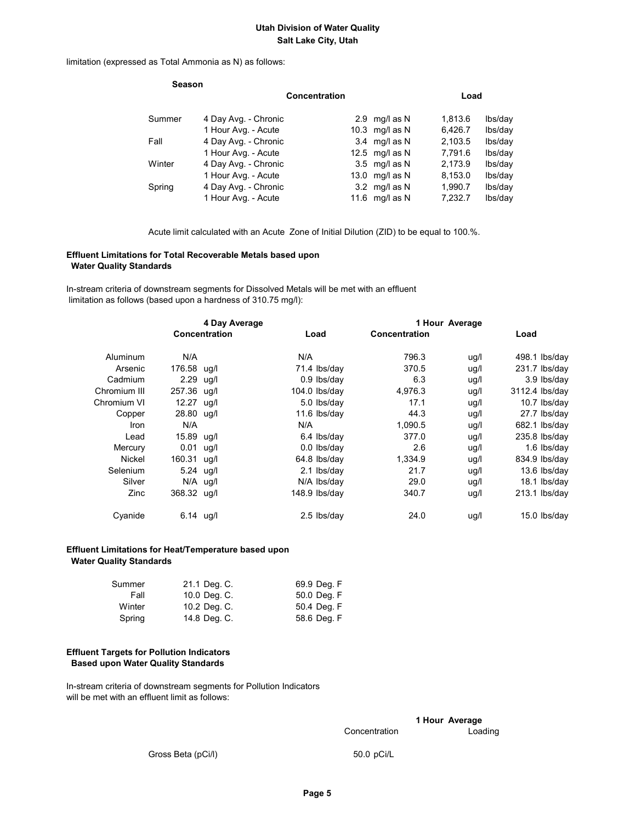limitation (expressed as Total Ammonia as N) as follows:

| Concentration                                                                                                                                                                            |           |                                                                                                                                        | Load    |  |  |
|------------------------------------------------------------------------------------------------------------------------------------------------------------------------------------------|-----------|----------------------------------------------------------------------------------------------------------------------------------------|---------|--|--|
|                                                                                                                                                                                          |           | 1,813.6                                                                                                                                | lbs/day |  |  |
|                                                                                                                                                                                          |           | 6,426.7                                                                                                                                | lbs/day |  |  |
|                                                                                                                                                                                          | mg/l as N | 2,103.5                                                                                                                                | lbs/day |  |  |
|                                                                                                                                                                                          |           | 7,791.6                                                                                                                                | lbs/day |  |  |
|                                                                                                                                                                                          |           | 2,173.9                                                                                                                                | lbs/day |  |  |
|                                                                                                                                                                                          |           | 8,153.0                                                                                                                                | lbs/day |  |  |
|                                                                                                                                                                                          |           | 1,990.7                                                                                                                                | lbs/day |  |  |
|                                                                                                                                                                                          | mg/l as N | 7,232.7                                                                                                                                | lbs/day |  |  |
| 4 Day Avg. - Chronic<br>1 Hour Avg. - Acute<br>4 Day Avg. - Chronic<br>1 Hour Avg. - Acute<br>4 Day Avg. - Chronic<br>1 Hour Avg. - Acute<br>4 Day Avg. - Chronic<br>1 Hour Avg. - Acute |           | 2.9 $mq/l$ as N<br>10.3 $mq/l$ as N<br>3.4<br>12.5 mg/l as $N$<br>$3.5 \text{ mg/l}$ as N<br>13.0 $mq/l$ as N<br>3.2 mg/l as N<br>11.6 |         |  |  |

Acute limit calculated with an Acute Zone of Initial Dilution (ZID) to be equal to 100.%.

## Effluent Limitations for Total Recoverable Metals based upon Water Quality Standards

 In-stream criteria of downstream segments for Dissolved Metals will be met with an effluent limitation as follows (based upon a hardness of 310.75 mg/l):

| 4 Day Average |             |               | 1 Hour Average |                 |               |      |      |                 |
|---------------|-------------|---------------|----------------|-----------------|---------------|------|------|-----------------|
|               |             | Concentration |                | Load            | Concentration |      | Load |                 |
| Aluminum      | N/A         |               | N/A            |                 | 796.3         | ug/l |      | $498.1$ lbs/day |
| Arsenic       | 176.58 ug/l |               |                | 71.4 lbs/day    | 370.5         | ug/l |      | $231.7$ lbs/day |
| Cadmium       | $2.29$ ug/l |               |                | $0.9$ lbs/day   | 6.3           | ug/l |      | 3.9 lbs/day     |
| Chromium III  | 257.36 ug/l |               |                | $104.0$ lbs/dav | 4.976.3       | ug/l |      | 3112.4 lbs/day  |
| Chromium VI   | 12.27 ug/l  |               |                | 5.0 lbs/day     | 17.1          | ug/l |      | 10.7 lbs/day    |
| Copper        | 28.80 ug/l  |               |                | 11.6 lbs/day    | 44.3          | ug/l |      | 27.7 lbs/day    |
| Iron          | N/A         |               | N/A            |                 | 1.090.5       | ug/l |      | $682.1$ lbs/day |
| Lead          | 15.89 ug/l  |               |                | 6.4 lbs/day     | 377.0         | ug/l |      | 235.8 lbs/day   |
| Mercury       | $0.01$ ug/l |               |                | 0.0 lbs/day     | 2.6           | ug/l |      | $1.6$ lbs/day   |
| Nickel        | 160.31 ug/l |               |                | $64.8$ lbs/day  | 1,334.9       | ug/l |      | 834.9 lbs/day   |
| Selenium      | $5.24$ ug/l |               |                | 2.1 lbs/day     | 21.7          | ug/l |      | $13.6$ lbs/day  |
| Silver        | $N/A$ ug/l  |               |                | N/A Ibs/day     | 29.0          | ug/l |      | 18.1 lbs/day    |
| Zinc          | 368.32 ug/l |               |                | $148.9$ lbs/day | 340.7         | uq/l |      | $213.1$ lbs/day |
| Cyanide       | $6.14$ ug/l |               |                | 2.5 lbs/day     | 24.0          | ug/l |      | 15.0 lbs/day    |

## Effluent Limitations for Heat/Temperature based upon Water Quality Standards

| Summer | 21.1 Deg. C. | 69.9 Deg. F |
|--------|--------------|-------------|
| Fall   | 10.0 Deg. C. | 50.0 Deg. F |
| Winter | 10.2 Deg. C. | 50.4 Deg. F |
| Spring | 14.8 Deg. C. | 58.6 Deg. F |

### Effluent Targets for Pollution Indicators Based upon Water Quality Standards

 In-stream criteria of downstream segments for Pollution Indicators will be met with an effluent limit as follows:

1 Hour Average

Concentration Loading

Gross Beta (pCi/l) 50.0 pCi/L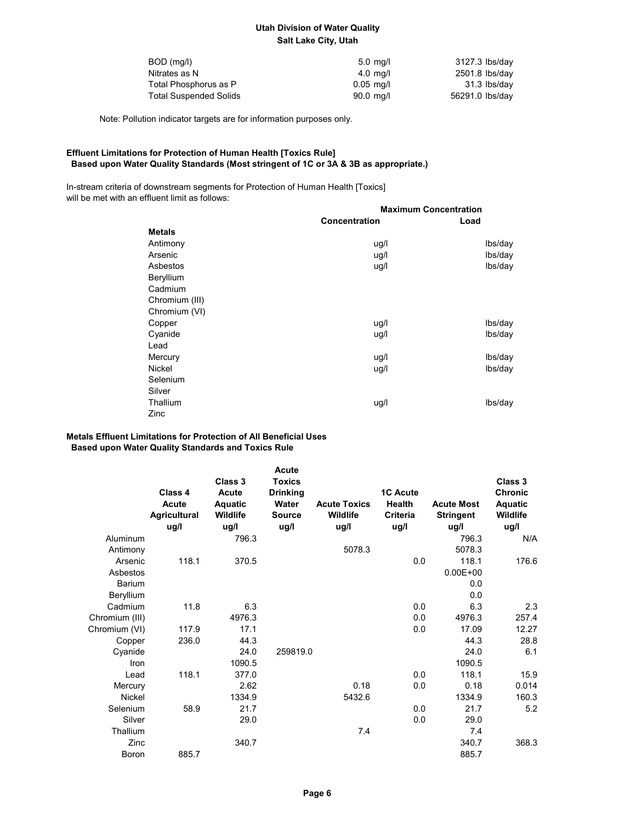| BOD (mg/l)                    | $5.0 \text{ ma/l}$    | 3127.3 lbs/day  |
|-------------------------------|-----------------------|-----------------|
| Nitrates as N                 | $4.0$ ma/l            | 2501.8 lbs/day  |
| Total Phosphorus as P         | $0.05$ ma/l           | 31.3 lbs/day    |
| <b>Total Suspended Solids</b> | $90.0 \, \text{mq/l}$ | 56291.0 lbs/day |

Note: Pollution indicator targets are for information purposes only.

## Effluent Limitations for Protection of Human Health [Toxics Rule] Based upon Water Quality Standards (Most stringent of 1C or 3A & 3B as appropriate.)

 In-stream criteria of downstream segments for Protection of Human Health [Toxics] will be met with an effluent limit as follows:

|                | <b>Maximum Concentration</b> |         |  |  |
|----------------|------------------------------|---------|--|--|
|                | <b>Concentration</b>         | Load    |  |  |
| <b>Metals</b>  |                              |         |  |  |
| Antimony       | ug/l                         | lbs/day |  |  |
| Arsenic        | ug/l                         | lbs/day |  |  |
| Asbestos       | ug/l                         | lbs/day |  |  |
| Beryllium      |                              |         |  |  |
| Cadmium        |                              |         |  |  |
| Chromium (III) |                              |         |  |  |
| Chromium (VI)  |                              |         |  |  |
| Copper         | ug/l                         | lbs/day |  |  |
| Cyanide        | ug/l                         | lbs/day |  |  |
| Lead           |                              |         |  |  |
| Mercury        | ug/l                         | lbs/day |  |  |
| Nickel         | ug/l                         | lbs/day |  |  |
| Selenium       |                              |         |  |  |
| Silver         |                              |         |  |  |
| Thallium       | ug/l                         | lbs/day |  |  |
| Zinc           |                              |         |  |  |

## Metals Effluent Limitations for Protection of All Beneficial Uses Based upon Water Quality Standards and Toxics Rule

|                | Class 4<br><b>Acute</b><br><b>Agricultural</b><br>ug/l | Class 3<br><b>Acute</b><br>Aquatic<br>Wildlife<br>ug/l | <b>Acute</b><br><b>Toxics</b><br><b>Drinking</b><br>Water<br><b>Source</b><br>ug/l | <b>Acute Toxics</b><br><b>Wildlife</b><br>ug/l | <b>1C Acute</b><br><b>Health</b><br>Criteria<br>ug/l | <b>Acute Most</b><br><b>Stringent</b><br>ug/l | Class 3<br><b>Chronic</b><br>Aquatic<br>Wildlife<br>ug/l |
|----------------|--------------------------------------------------------|--------------------------------------------------------|------------------------------------------------------------------------------------|------------------------------------------------|------------------------------------------------------|-----------------------------------------------|----------------------------------------------------------|
| Aluminum       |                                                        | 796.3                                                  |                                                                                    |                                                |                                                      | 796.3                                         | N/A                                                      |
| Antimony       |                                                        |                                                        |                                                                                    | 5078.3                                         |                                                      | 5078.3                                        |                                                          |
| Arsenic        | 118.1                                                  | 370.5                                                  |                                                                                    |                                                | 0.0                                                  | 118.1                                         | 176.6                                                    |
| Asbestos       |                                                        |                                                        |                                                                                    |                                                |                                                      | $0.00E + 00$                                  |                                                          |
| <b>Barium</b>  |                                                        |                                                        |                                                                                    |                                                |                                                      | 0.0                                           |                                                          |
| Beryllium      |                                                        |                                                        |                                                                                    |                                                |                                                      | 0.0                                           |                                                          |
| Cadmium        | 11.8                                                   | 6.3                                                    |                                                                                    |                                                | 0.0                                                  | 6.3                                           | 2.3                                                      |
| Chromium (III) |                                                        | 4976.3                                                 |                                                                                    |                                                | 0.0                                                  | 4976.3                                        | 257.4                                                    |
| Chromium (VI)  | 117.9                                                  | 17.1                                                   |                                                                                    |                                                | 0.0                                                  | 17.09                                         | 12.27                                                    |
| Copper         | 236.0                                                  | 44.3                                                   |                                                                                    |                                                |                                                      | 44.3                                          | 28.8                                                     |
| Cyanide        |                                                        | 24.0                                                   | 259819.0                                                                           |                                                |                                                      | 24.0                                          | 6.1                                                      |
| Iron           |                                                        | 1090.5                                                 |                                                                                    |                                                |                                                      | 1090.5                                        |                                                          |
| Lead           | 118.1                                                  | 377.0                                                  |                                                                                    |                                                | 0.0                                                  | 118.1                                         | 15.9                                                     |
| Mercury        |                                                        | 2.62                                                   |                                                                                    | 0.18                                           | 0.0                                                  | 0.18                                          | 0.014                                                    |
| <b>Nickel</b>  |                                                        | 1334.9                                                 |                                                                                    | 5432.6                                         |                                                      | 1334.9                                        | 160.3                                                    |
| Selenium       | 58.9                                                   | 21.7                                                   |                                                                                    |                                                | 0.0                                                  | 21.7                                          | 5.2                                                      |
| Silver         |                                                        | 29.0                                                   |                                                                                    |                                                | 0.0                                                  | 29.0                                          |                                                          |
| Thallium       |                                                        |                                                        |                                                                                    | 7.4                                            |                                                      | 7.4                                           |                                                          |
| Zinc           |                                                        | 340.7                                                  |                                                                                    |                                                |                                                      | 340.7                                         | 368.3                                                    |
| Boron          | 885.7                                                  |                                                        |                                                                                    |                                                |                                                      | 885.7                                         |                                                          |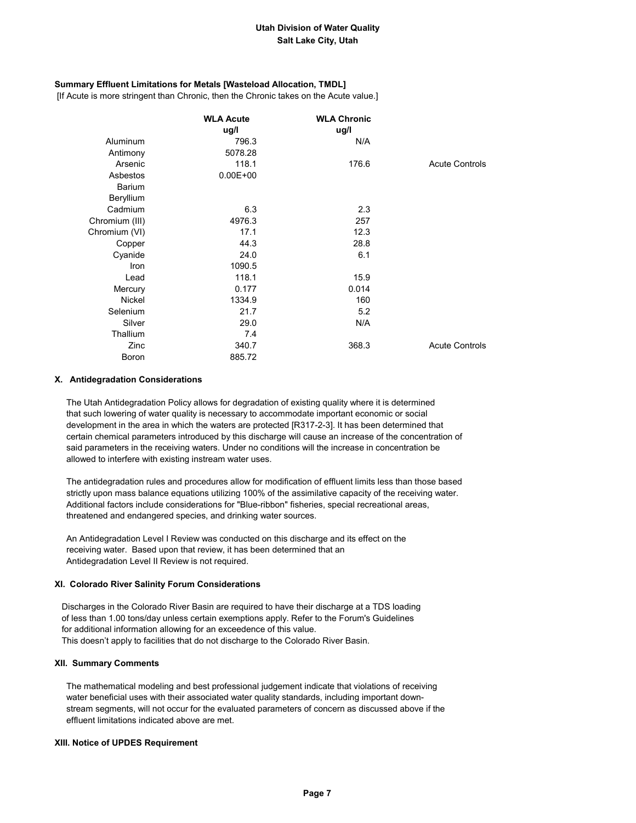## Summary Effluent Limitations for Metals [Wasteload Allocation, TMDL]

[If Acute is more stringent than Chronic, then the Chronic takes on the Acute value.]

|                | <b>WLA Acute</b><br>ug/l | <b>WLA Chronic</b><br>ug/l |                       |
|----------------|--------------------------|----------------------------|-----------------------|
| Aluminum       | 796.3                    | N/A                        |                       |
| Antimony       | 5078.28                  |                            |                       |
| Arsenic        | 118.1                    | 176.6                      | <b>Acute Controls</b> |
| Asbestos       | $0.00E + 00$             |                            |                       |
| Barium         |                          |                            |                       |
| Beryllium      |                          |                            |                       |
| Cadmium        | 6.3                      | 2.3                        |                       |
| Chromium (III) | 4976.3                   | 257                        |                       |
| Chromium (VI)  | 17.1                     | 12.3                       |                       |
| Copper         | 44.3                     | 28.8                       |                       |
| Cyanide        | 24.0                     | 6.1                        |                       |
| Iron           | 1090.5                   |                            |                       |
| Lead           | 118.1                    | 15.9                       |                       |
| Mercury        | 0.177                    | 0.014                      |                       |
| <b>Nickel</b>  | 1334.9                   | 160                        |                       |
| Selenium       | 21.7                     | 5.2                        |                       |
| Silver         | 29.0                     | N/A                        |                       |
| Thallium       | 7.4                      |                            |                       |
| Zinc           | 340.7                    | 368.3                      | <b>Acute Controls</b> |
| Boron          | 885.72                   |                            |                       |

#### X. Antidegradation Considerations

 The Utah Antidegradation Policy allows for degradation of existing quality where it is determined that such lowering of water quality is necessary to accommodate important economic or social development in the area in which the waters are protected [R317-2-3]. It has been determined that certain chemical parameters introduced by this discharge will cause an increase of the concentration of said parameters in the receiving waters. Under no conditions will the increase in concentration be allowed to interfere with existing instream water uses.

 The antidegradation rules and procedures allow for modification of effluent limits less than those based strictly upon mass balance equations utilizing 100% of the assimilative capacity of the receiving water. Additional factors include considerations for "Blue-ribbon" fisheries, special recreational areas, threatened and endangered species, and drinking water sources.

 An Antidegradation Level I Review was conducted on this discharge and its effect on the receiving water. Based upon that review, it has been determined that an Antidegradation Level II Review is not required.

## XI. Colorado River Salinity Forum Considerations

 Discharges in the Colorado River Basin are required to have their discharge at a TDS loading of less than 1.00 tons/day unless certain exemptions apply. Refer to the Forum's Guidelines for additional information allowing for an exceedence of this value. This doesn't apply to facilities that do not discharge to the Colorado River Basin.

#### XII. Summary Comments

 The mathematical modeling and best professional judgement indicate that violations of receiving water beneficial uses with their associated water quality standards, including important down stream segments, will not occur for the evaluated parameters of concern as discussed above if the effluent limitations indicated above are met.

#### XIII. Notice of UPDES Requirement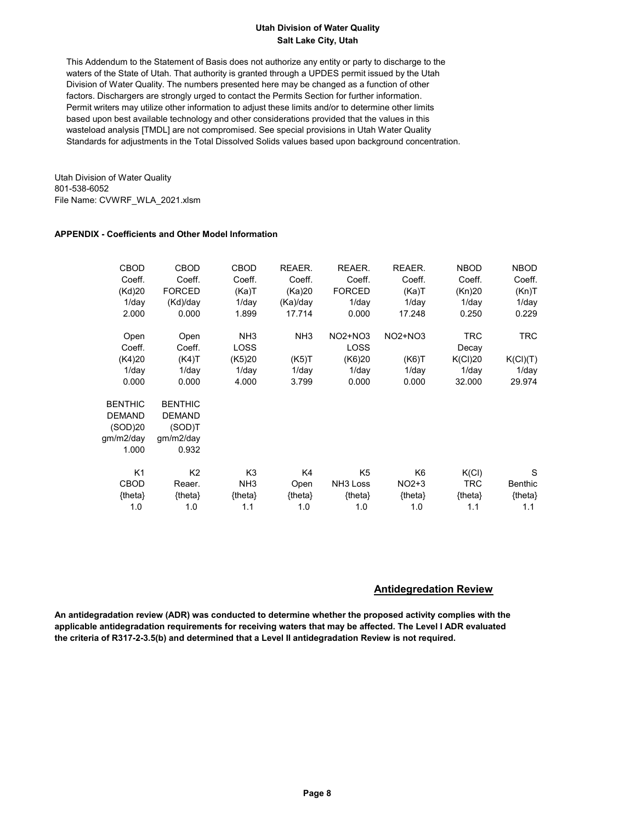This Addendum to the Statement of Basis does not authorize any entity or party to discharge to the waters of the State of Utah. That authority is granted through a UPDES permit issued by the Utah Division of Water Quality. The numbers presented here may be changed as a function of other factors. Dischargers are strongly urged to contact the Permits Section for further information. Permit writers may utilize other information to adjust these limits and/or to determine other limits based upon best available technology and other considerations provided that the values in this wasteload analysis [TMDL] are not compromised. See special provisions in Utah Water Quality Standards for adjustments in the Total Dissolved Solids values based upon background concentration.

Utah Division of Water Quality 801-538-6052 File Name: CVWRF\_WLA\_2021.xlsm

## APPENDIX - Coefficients and Other Model Information

| CBOD<br>Coeff.<br>(Kd)20<br>$1$ /day<br>2.000                    | CBOD<br>Coeff.<br><b>FORCED</b><br>(Kd)/day<br>0.000            | <b>CBOD</b><br>Coeff.<br>(Ka)T<br>$1$ /day<br>1.899 | REAER.<br>Coeff.<br>(Ka)20<br>(Ka)/day<br>17.714 | REAER.<br>Coeff.<br><b>FORCED</b><br>$1$ /day<br>0.000 | REAER.<br>Coeff.<br>(Ka)T<br>$1$ /day<br>17.248 | <b>NBOD</b><br>Coeff.<br>(Kn)20<br>$1$ /day<br>0.250 | <b>NBOD</b><br>Coeff.<br>(Kn)T<br>$1$ /day<br>0.229 |
|------------------------------------------------------------------|-----------------------------------------------------------------|-----------------------------------------------------|--------------------------------------------------|--------------------------------------------------------|-------------------------------------------------|------------------------------------------------------|-----------------------------------------------------|
| Open                                                             | Open                                                            | NH <sub>3</sub>                                     | NH <sub>3</sub>                                  | $NO2+NO3$                                              | NO2+NO3                                         | TRC                                                  | <b>TRC</b>                                          |
| Coeff.                                                           | Coeff.                                                          | <b>LOSS</b>                                         |                                                  | <b>LOSS</b>                                            |                                                 | Decay                                                |                                                     |
| (K4)20                                                           | (K4)T                                                           | (K5)20                                              | (K5)T                                            | (K6)20                                                 | (K6)T                                           | K(Cl)20                                              | K(Cl)(T)                                            |
| $1$ /day                                                         | $1$ /day                                                        | $1$ /day                                            | $1$ /day                                         | $1$ /day                                               | $1$ /day                                        | $1$ /day                                             | $1$ /day                                            |
| 0.000                                                            | 0.000                                                           | 4.000                                               | 3.799                                            | 0.000                                                  | 0.000                                           | 32.000                                               | 29.974                                              |
| <b>BENTHIC</b><br><b>DEMAND</b><br>(SOD)20<br>qm/m2/day<br>1.000 | <b>BENTHIC</b><br><b>DEMAND</b><br>(SOD)T<br>gm/m2/day<br>0.932 |                                                     |                                                  |                                                        |                                                 |                                                      |                                                     |
| K <sub>1</sub>                                                   | K <sub>2</sub>                                                  | K3                                                  | K4                                               | K <sub>5</sub>                                         | K6                                              | K(Cl)                                                | S                                                   |
| <b>CBOD</b>                                                      | Reaer.                                                          | NH <sub>3</sub>                                     | Open                                             | NH <sub>3</sub> Loss                                   | $NO2+3$                                         | <b>TRC</b>                                           | <b>Benthic</b>                                      |
| {theta}                                                          | ${theta}$                                                       | ${theta}$                                           | ${theta}$                                        | {theta}                                                | ${theta}$                                       | ${theta}$                                            | ${theta}$                                           |
| 1.0                                                              | 1.0                                                             | 1.1                                                 | 1.0                                              | 1.0                                                    | 1.0                                             | 1.1                                                  | 1.1                                                 |

## Antidegredation Review

An antidegradation review (ADR) was conducted to determine whether the proposed activity complies with the applicable antidegradation requirements for receiving waters that may be affected. The Level I ADR evaluated the criteria of R317-2-3.5(b) and determined that a Level II antidegradation Review is not required.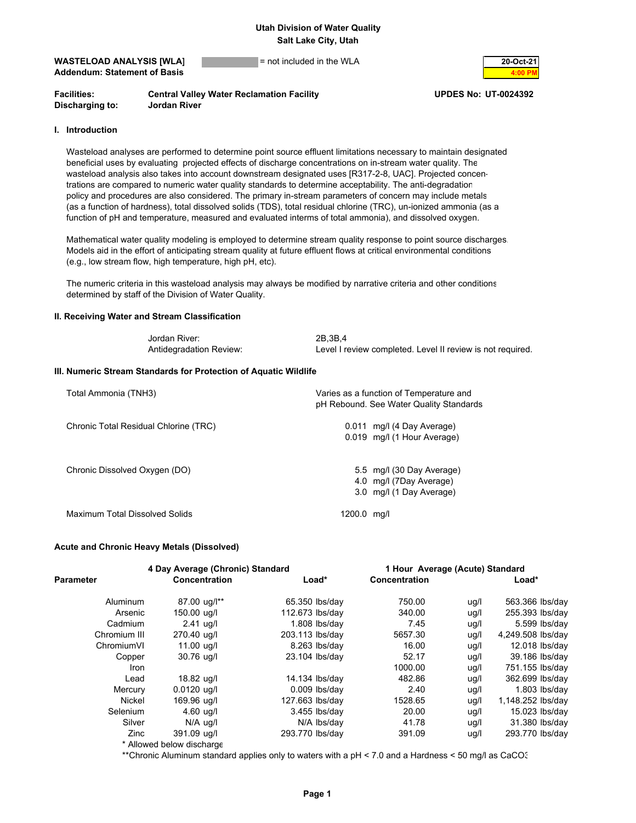## **WASTELOAD ANALYSIS [WLA]** = not included in the WLA **20-Oct-21 Addendum: Statement of Basis**



**Facilities: Central Valley Water Reclamation Facility UPDES No: UT-0024392 Discharging to: Jordan River**

### **I. Introduction**

 Wasteload analyses are performed to determine point source effluent limitations necessary to maintain designated beneficial uses by evaluating projected effects of discharge concentrations on in-stream water quality. The wasteload analysis also takes into account downstream designated uses [R317-2-8, UAC]. Projected concen trations are compared to numeric water quality standards to determine acceptability. The anti-degradation policy and procedures are also considered. The primary in-stream parameters of concern may include metals (as a function of hardness), total dissolved solids (TDS), total residual chlorine (TRC), un-ionized ammonia (as a function of pH and temperature, measured and evaluated interms of total ammonia), and dissolved oxygen.

 Mathematical water quality modeling is employed to determine stream quality response to point source discharges. Models aid in the effort of anticipating stream quality at future effluent flows at critical environmental conditions (e.g., low stream flow, high temperature, high pH, etc).

 The numeric criteria in this wasteload analysis may always be modified by narrative criteria and other conditions determined by staff of the Division of Water Quality.

#### **II. Receiving Water and Stream Classification**

| Jordan River:           | 2B.3B.4                                                    |
|-------------------------|------------------------------------------------------------|
| Antidegradation Review: | Level I review completed. Level II review is not required. |

#### **III. Numeric Stream Standards for Protection of Aquatic Wildlife**

| Total Ammonia (TNH3)                  | Varies as a function of Temperature and<br>pH Rebound. See Water Quality Standards |
|---------------------------------------|------------------------------------------------------------------------------------|
| Chronic Total Residual Chlorine (TRC) | $0.011$ mg/l (4 Day Average)<br>0.019 mg/l (1 Hour Average)                        |
| Chronic Dissolved Oxygen (DO)         | 5.5 mg/l (30 Day Average)<br>4.0 mg/l (7Day Average)<br>3.0 mg/l (1 Day Average)   |
| Maximum Total Dissolved Solids        | 1200.0 mg/l                                                                        |

#### **Acute and Chronic Heavy Metals (Dissolved)**

|              |                           | 4 Day Average (Chronic) Standard |               | 1 Hour Average (Acute) Standard |                   |
|--------------|---------------------------|----------------------------------|---------------|---------------------------------|-------------------|
| Parameter    | Concentration             | Load*                            | Concentration |                                 | $Load*$           |
| Aluminum     | 87.00 ug/l**              | 65.350 lbs/day                   | 750.00        | ug/l                            | 563.366 lbs/day   |
| Arsenic      | 150.00 ug/l               | 112.673 lbs/day                  | 340.00        | ug/l                            | 255.393 lbs/day   |
| Cadmium      | $2.41$ ug/l               | $1.808$ lbs/day                  | 7.45          | ug/l                            | 5.599 lbs/day     |
| Chromium III | 270.40 ug/l               | 203.113 lbs/day                  | 5657.30       | ug/l                            | 4,249.508 lbs/day |
| ChromiumVI   | 11.00 ug/l                | 8.263 lbs/day                    | 16.00         | uq/l                            | 12.018 lbs/day    |
| Copper       | 30.76 ug/l                | 23.104 lbs/day                   | 52.17         | ug/l                            | 39.186 lbs/day    |
| Iron         |                           |                                  | 1000.00       | ug/l                            | 751.155 lbs/day   |
| Lead         | 18.82 ug/l                | 14.134 lbs/day                   | 482.86        | ug/l                            | 362.699 lbs/day   |
| Mercury      | $0.0120$ ug/l             | $0.009$ lbs/day                  | 2.40          | ug/l                            | $1.803$ lbs/day   |
| Nickel       | 169.96 ug/l               | 127.663 lbs/day                  | 1528.65       | ug/l                            | 1,148.252 lbs/day |
| Selenium     | $4.60$ ug/l               | 3.455 lbs/day                    | 20.00         | ug/l                            | 15.023 lbs/day    |
| Silver       | N/A ug/l                  | N/A lbs/day                      | 41.78         | ug/l                            | 31.380 lbs/day    |
| Zinc         | 391.09 ug/l               | 293.770 lbs/day                  | 391.09        | ug/l                            | 293.770 lbs/day   |
|              | * Allowed holow discharge |                                  |               |                                 |                   |

Allowed below discharge

\*\*Chronic Aluminum standard applies only to waters with a pH < 7.0 and a Hardness < 50 mg/l as CaCO3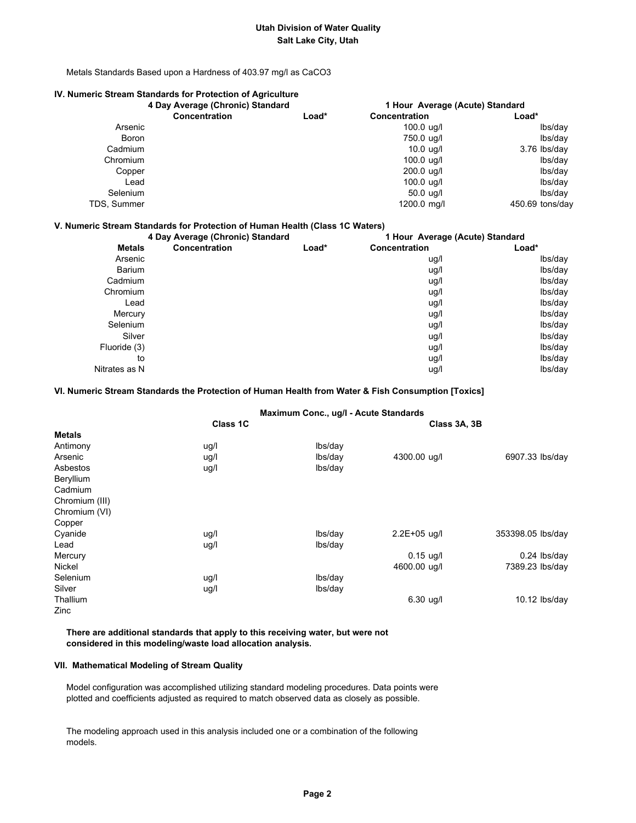Metals Standards Based upon a Hardness of 403.97 mg/l as CaCO3

## **IV. Numeric Stream Standards for Protection of Agriculture**

|              | 4 Day Average (Chronic) Standard |       | 1 Hour Average (Acute) Standard |                 |
|--------------|----------------------------------|-------|---------------------------------|-----------------|
|              | <b>Concentration</b>             | Load* | <b>Concentration</b>            | Load*           |
| Arsenic      |                                  |       | $100.0 \text{ uq/l}$            | lbs/day         |
| <b>Boron</b> |                                  |       | 750.0 ug/l                      | lbs/day         |
| Cadmium      |                                  |       | $10.0$ ug/l                     | 3.76 lbs/day    |
| Chromium     |                                  |       | $100.0 \text{ u}g/l$            | lbs/day         |
| Copper       |                                  |       | 200.0 ug/l                      | lbs/day         |
| Lead         |                                  |       | $100.0$ ug/l                    | lbs/day         |
| Selenium     |                                  |       | $50.0 \text{ uq/l}$             | lbs/day         |
| TDS, Summer  |                                  |       | 1200.0 mg/l                     | 450.69 tons/day |

#### **V. Numeric Stream Standards for Protection of Human Health (Class 1C Waters)**

|               | 4 Day Average (Chronic) Standard |       | 1 Hour Average (Acute) Standard |         |  |
|---------------|----------------------------------|-------|---------------------------------|---------|--|
| <b>Metals</b> | Concentration                    | Load* | <b>Concentration</b>            | Load*   |  |
| Arsenic       |                                  |       | ug/l                            | lbs/day |  |
| <b>Barium</b> |                                  |       | ug/l                            | lbs/day |  |
| Cadmium       |                                  |       | ug/l                            | lbs/day |  |
| Chromium      |                                  |       | ug/l                            | lbs/day |  |
| Lead          |                                  |       | ug/l                            | lbs/day |  |
| Mercury       |                                  |       | ug/l                            | lbs/day |  |
| Selenium      |                                  |       | ug/l                            | lbs/day |  |
| Silver        |                                  |       | ug/l                            | lbs/day |  |
| Fluoride (3)  |                                  |       | ug/l                            | lbs/day |  |
| to            |                                  |       | ug/l                            | lbs/day |  |
| Nitrates as N |                                  |       | ug/l                            | lbs/day |  |

#### **VI. Numeric Stream Standards the Protection of Human Health from Water & Fish Consumption [Toxics]**

#### **Maximum Conc., ug/l - Acute Standards**

|                | Class 1C |         | Class 3A, 3B     |                   |
|----------------|----------|---------|------------------|-------------------|
| <b>Metals</b>  |          |         |                  |                   |
| Antimony       | ug/l     | lbs/day |                  |                   |
| Arsenic        | ug/l     | lbs/day | 4300.00 ug/l     | 6907.33 lbs/day   |
| Asbestos       | ug/l     | lbs/day |                  |                   |
| Beryllium      |          |         |                  |                   |
| Cadmium        |          |         |                  |                   |
| Chromium (III) |          |         |                  |                   |
| Chromium (VI)  |          |         |                  |                   |
| Copper         |          |         |                  |                   |
| Cyanide        | ug/l     | lbs/day | $2.2E + 05$ ug/l | 353398.05 lbs/day |
| Lead           | ug/l     | lbs/day |                  |                   |
| Mercury        |          |         | $0.15$ ug/l      | $0.24$ lbs/day    |
| Nickel         |          |         | 4600.00 ug/l     | 7389.23 lbs/day   |
| Selenium       | ug/l     | lbs/day |                  |                   |
| Silver         | ug/l     | lbs/day |                  |                   |
| Thallium       |          |         | $6.30$ ug/l      | $10.12$ lbs/day   |
| Zinc           |          |         |                  |                   |

 **There are additional standards that apply to this receiving water, but were not considered in this modeling/waste load allocation analysis.**

#### **VII. Mathematical Modeling of Stream Quality**

 Model configuration was accomplished utilizing standard modeling procedures. Data points were plotted and coefficients adjusted as required to match observed data as closely as possible.

 The modeling approach used in this analysis included one or a combination of the following models.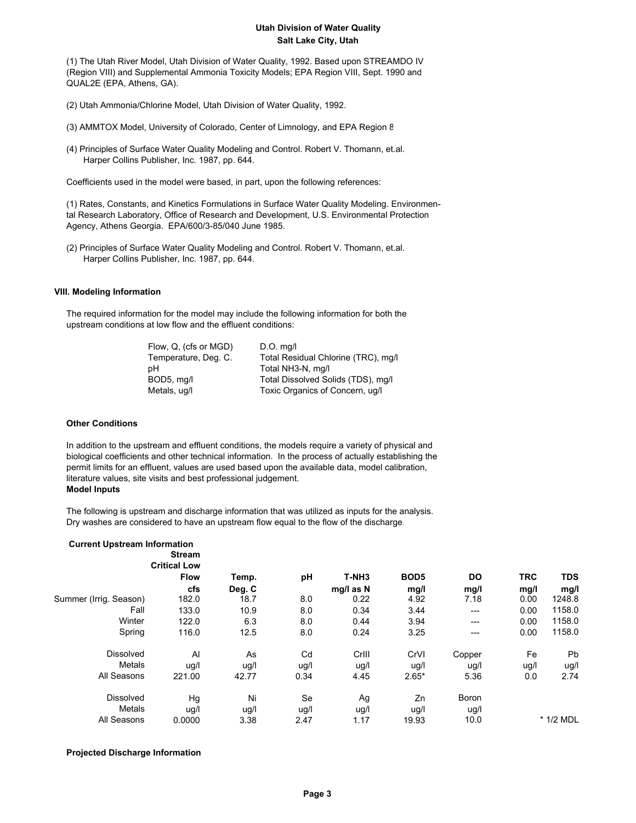(1) The Utah River Model, Utah Division of Water Quality, 1992. Based upon STREAMDO IV (Region VIII) and Supplemental Ammonia Toxicity Models; EPA Region VIII, Sept. 1990 and QUAL2E (EPA, Athens, GA).

- (2) Utah Ammonia/Chlorine Model, Utah Division of Water Quality, 1992.
- (3) AMMTOX Model, University of Colorado, Center of Limnology, and EPA Region 8
- (4) Principles of Surface Water Quality Modeling and Control. Robert V. Thomann, et.al. Harper Collins Publisher, Inc. 1987, pp. 644.

Coefficients used in the model were based, in part, upon the following references:

 (1) Rates, Constants, and Kinetics Formulations in Surface Water Quality Modeling. Environmen tal Research Laboratory, Office of Research and Development, U.S. Environmental Protection Agency, Athens Georgia. EPA/600/3-85/040 June 1985.

 (2) Principles of Surface Water Quality Modeling and Control. Robert V. Thomann, et.al. Harper Collins Publisher, Inc. 1987, pp. 644.

## **VIII. Modeling Information**

 The required information for the model may include the following information for both the upstream conditions at low flow and the effluent conditions:

| Flow, Q, (cfs or MGD) | $D.O.$ mg/l                         |
|-----------------------|-------------------------------------|
| Temperature, Deg. C.  | Total Residual Chlorine (TRC), mg/l |
| рH                    | Total NH3-N, mg/l                   |
| BOD5, mg/l            | Total Dissolved Solids (TDS), mg/l  |
| Metals, ug/l          | Toxic Organics of Concern, ug/l     |

### **Other Conditions**

 In addition to the upstream and effluent conditions, the models require a variety of physical and biological coefficients and other technical information. In the process of actually establishing the permit limits for an effluent, values are used based upon the available data, model calibration, literature values, site visits and best professional judgement.  **Model Inputs**

 The following is upstream and discharge information that was utilized as inputs for the analysis. Dry washes are considered to have an upstream flow equal to the flow of the discharge.

| <b>Current Upstream Information</b> | <b>Stream</b>       |        |      |                   |                  |              |            |             |
|-------------------------------------|---------------------|--------|------|-------------------|------------------|--------------|------------|-------------|
|                                     | <b>Critical Low</b> |        |      |                   |                  |              |            |             |
|                                     | <b>Flow</b>         | Temp.  | pH   | T-NH <sub>3</sub> | BOD <sub>5</sub> | <b>DO</b>    | <b>TRC</b> | <b>TDS</b>  |
|                                     | cfs                 | Deg. C |      | mg/l as N         | mg/l             | mg/l         | mg/l       | mg/l        |
| Summer (Irrig. Season)              | 182.0               | 18.7   | 8.0  | 0.22              | 4.92             | 7.18         | 0.00       | 1248.8      |
| Fall                                | 133.0               | 10.9   | 8.0  | 0.34              | 3.44             | $---$        | 0.00       | 1158.0      |
| Winter                              | 122.0               | 6.3    | 8.0  | 0.44              | 3.94             | $---$        | 0.00       | 1158.0      |
| Spring                              | 116.0               | 12.5   | 8.0  | 0.24              | 3.25             | ---          | 0.00       | 1158.0      |
| <b>Dissolved</b>                    | Al                  | As     | Cd   | Crill             | CrVI             | Copper       | Fe         | Pb          |
| Metals                              | ug/l                | ug/l   | ug/l | ug/l              | ug/l             | ug/l         | ug/l       | ug/l        |
| All Seasons                         | 221.00              | 42.77  | 0.34 | 4.45              | $2.65*$          | 5.36         | 0.0        | 2.74        |
| <b>Dissolved</b>                    | Hg                  | Ni     | Se   | Ag                | Zn               | <b>Boron</b> |            |             |
| Metals                              | ug/l                | ug/l   | ug/l | ug/l              | ug/l             | ug/l         |            |             |
| All Seasons                         | 0.0000              | 3.38   | 2.47 | 1.17              | 19.93            | 10.0         |            | $*$ 1/2 MDL |

#### **Projected Discharge Information**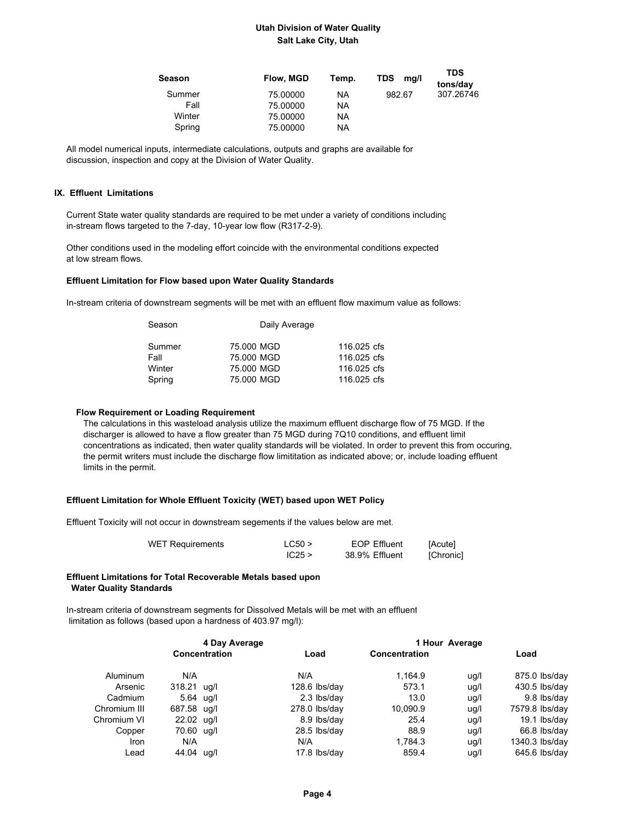| Season | Flow, MGD | Temp. | <b>TDS</b><br>mg/l | <b>TDS</b><br>tons/day |
|--------|-----------|-------|--------------------|------------------------|
| Summer | 75.00000  | ΝA    | 982.67             | 307.26746              |
| Fall   | 75,00000  | ΝA    |                    |                        |
| Winter | 75.00000  | ΝA    |                    |                        |
| Spring | 75.00000  | ΝA    |                    |                        |

 All model numerical inputs, intermediate calculations, outputs and graphs are available for discussion, inspection and copy at the Division of Water Quality.

#### **IX. Effluent Limitations**

 Current State water quality standards are required to be met under a variety of conditions including in-stream flows targeted to the 7-day, 10-year low flow (R317-2-9).

 Other conditions used in the modeling effort coincide with the environmental conditions expected at low stream flows.

#### **Effluent Limitation for Flow based upon Water Quality Standards**

In-stream criteria of downstream segments will be met with an effluent flow maximum value as follows:

| Season | Daily Average |             |  |
|--------|---------------|-------------|--|
| Summer | 75,000 MGD    | 116,025 cfs |  |
| Fall   | 75,000 MGD    | 116,025 cfs |  |
| Winter | 75,000 MGD    | 116,025 cfs |  |
| Spring | 75,000 MGD    | 116,025 cfs |  |

#### **Flow Requirement or Loading Requirement**

 The calculations in this wasteload analysis utilize the maximum effluent discharge flow of 75 MGD. If the discharger is allowed to have a flow greater than 75 MGD during 7Q10 conditions, and effluent limit concentrations as indicated, then water quality standards will be violated. In order to prevent this from occuring, the permit writers must include the discharge flow limititation as indicated above; or, include loading effluent limits in the permit.

#### **Effluent Limitation for Whole Effluent Toxicity (WET) based upon WET Policy**

Effluent Toxicity will not occur in downstream segements if the values below are met.

| <b>WET Requirements</b> | LC50 > | <b>EOP Effluent</b> | [Acute]   |
|-------------------------|--------|---------------------|-----------|
|                         | IC25 > | 38.9% Effluent      | [Chronic] |

#### **Effluent Limitations for Total Recoverable Metals based upon Water Quality Standards**

 In-stream criteria of downstream segments for Dissolved Metals will be met with an effluent limitation as follows (based upon a hardness of 403.97 mg/l):

| 4 Day Average |             |                      | 1 Hour Average  |               |      |                 |
|---------------|-------------|----------------------|-----------------|---------------|------|-----------------|
|               |             | <b>Concentration</b> | Load            | Concentration |      | Load            |
| Aluminum      | N/A         |                      | N/A             | 1.164.9       | ug/l | 875.0 lbs/day   |
| Arsenic       | 318.21 ug/l |                      | $128.6$ lbs/day | 573.1         | ug/l | $430.5$ lbs/day |
| Cadmium       | 5.64 ug/l   |                      | 2.3 lbs/day     | 13.0          | ug/l | 9.8 lbs/day     |
| Chromium III  | 687.58 ug/l |                      | $278.0$ lbs/day | 10,090.9      | ug/l | 7579.8 lbs/day  |
| Chromium VI   | 22.02 ug/l  |                      | 8.9 lbs/day     | 25.4          | ug/l | 19.1 lbs/day    |
| Copper        | 70.60 ug/l  |                      | 28.5 lbs/day    | 88.9          | ug/l | 66.8 lbs/day    |
| <b>Iron</b>   | N/A         |                      | N/A             | 1,784.3       | ug/l | 1340.3 lbs/day  |
| Lead          | 44.04 ug/l  |                      | 17.8 lbs/day    | 859.4         | ug/l | 645.6 lbs/day   |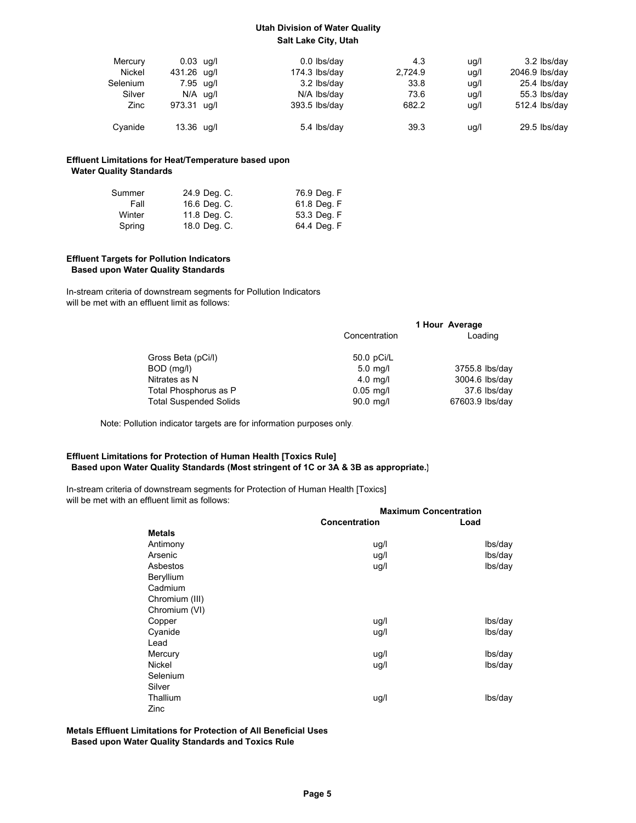| Mercury  | $0.03$ ug/l | $0.0$ lbs/day   | 4.3     | uq/l | 3.2 lbs/day        |
|----------|-------------|-----------------|---------|------|--------------------|
| Nickel   | 431.26 ug/l | $174.3$ lbs/day | 2.724.9 | uq/l | 2046.9 lbs/day     |
| Selenium | 7.95 ug/l   | 3.2 lbs/day     | 33.8    | uq/l | 25.4 lbs/day       |
| Silver   | $N/A$ ug/l  | N/A lbs/day     | 73.6    | uq/l | 55.3 $\frac{1}{3}$ |
| Zinc     | 973.31 ug/l | 393.5 lbs/day   | 682.2   | ug/l | $512.4$ lbs/day    |
| Cyanide  | 13.36 ug/l  | 5.4 lbs/day     | 39.3    | ug/l | $29.5$ lbs/day     |

### **Effluent Limitations for Heat/Temperature based upon Water Quality Standards**

| Summer | 24.9 Deg. C. | 76.9 Deg. F |
|--------|--------------|-------------|
| Fall   | 16.6 Deg. C. | 61.8 Deg. F |
| Winter | 11.8 Deg. C. | 53.3 Deg. F |
| Spring | 18.0 Deg. C. | 64.4 Deg. F |

#### **Effluent Targets for Pollution Indicators Based upon Water Quality Standards**

 In-stream criteria of downstream segments for Pollution Indicators will be met with an effluent limit as follows:

|                               |               | 1 Hour Average  |
|-------------------------------|---------------|-----------------|
|                               | Concentration | Loading         |
| Gross Beta (pCi/l)            | 50.0 pCi/L    |                 |
| BOD (mg/l)                    | $5.0$ mg/l    | 3755.8 lbs/day  |
| Nitrates as N                 | $4.0$ mg/l    | 3004.6 lbs/day  |
| Total Phosphorus as P         | $0.05$ mg/l   | 37.6 lbs/day    |
| <b>Total Suspended Solids</b> | 90.0 mg/l     | 67603.9 lbs/day |

Note: Pollution indicator targets are for information purposes only.

## **Effluent Limitations for Protection of Human Health [Toxics Rule] Based upon Water Quality Standards (Most stringent of 1C or 3A & 3B as appropriate.)**

 In-stream criteria of downstream segments for Protection of Human Health [Toxics] will be met with an effluent limit as follows:

|                | <b>Maximum Concentration</b> |         |  |  |
|----------------|------------------------------|---------|--|--|
|                | Concentration                | Load    |  |  |
| <b>Metals</b>  |                              |         |  |  |
| Antimony       | ug/l                         | lbs/day |  |  |
| Arsenic        | ug/l                         | lbs/day |  |  |
| Asbestos       | ug/l                         | lbs/day |  |  |
| Beryllium      |                              |         |  |  |
| Cadmium        |                              |         |  |  |
| Chromium (III) |                              |         |  |  |
| Chromium (VI)  |                              |         |  |  |
| Copper         | ug/l                         | lbs/day |  |  |
| Cyanide        | ug/l                         | lbs/day |  |  |
| Lead           |                              |         |  |  |
| Mercury        | ug/l                         | lbs/day |  |  |
| <b>Nickel</b>  | ug/l                         | lbs/day |  |  |
| Selenium       |                              |         |  |  |
| Silver         |                              |         |  |  |
| Thallium       | ug/l                         | lbs/day |  |  |
| Zinc           |                              |         |  |  |

## **Metals Effluent Limitations for Protection of All Beneficial Uses Based upon Water Quality Standards and Toxics Rule**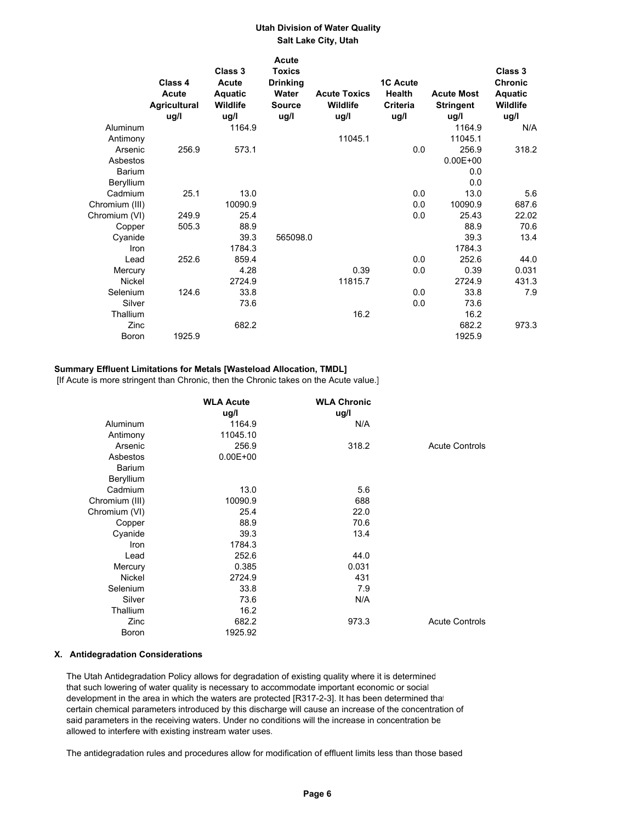|                | Class 4                              | Class 3<br>Acute            | <b>Acute</b><br><b>Toxics</b><br><b>Drinking</b> |                                         | <b>1C Acute</b>                   |                                               | Class 3<br><b>Chronic</b>   |
|----------------|--------------------------------------|-----------------------------|--------------------------------------------------|-----------------------------------------|-----------------------------------|-----------------------------------------------|-----------------------------|
|                | Acute<br><b>Agricultural</b><br>ug/l | Aquatic<br>Wildlife<br>ug/l | Water<br><b>Source</b><br>ug/l                   | <b>Acute Toxics</b><br>Wildlife<br>ug/l | <b>Health</b><br>Criteria<br>ug/l | <b>Acute Most</b><br><b>Stringent</b><br>ug/l | Aquatic<br>Wildlife<br>ug/l |
| Aluminum       |                                      | 1164.9                      |                                                  |                                         |                                   | 1164.9                                        | N/A                         |
| Antimony       |                                      |                             |                                                  | 11045.1                                 |                                   | 11045.1                                       |                             |
| Arsenic        | 256.9                                | 573.1                       |                                                  |                                         | 0.0                               | 256.9                                         | 318.2                       |
| Asbestos       |                                      |                             |                                                  |                                         |                                   | $0.00E + 00$                                  |                             |
| Barium         |                                      |                             |                                                  |                                         |                                   | 0.0                                           |                             |
| Beryllium      |                                      |                             |                                                  |                                         |                                   | 0.0                                           |                             |
| Cadmium        | 25.1                                 | 13.0                        |                                                  |                                         | 0.0                               | 13.0                                          | 5.6                         |
| Chromium (III) |                                      | 10090.9                     |                                                  |                                         | 0.0                               | 10090.9                                       | 687.6                       |
| Chromium (VI)  | 249.9                                | 25.4                        |                                                  |                                         | 0.0                               | 25.43                                         | 22.02                       |
| Copper         | 505.3                                | 88.9                        |                                                  |                                         |                                   | 88.9                                          | 70.6                        |
| Cyanide        |                                      | 39.3                        | 565098.0                                         |                                         |                                   | 39.3                                          | 13.4                        |
| Iron           |                                      | 1784.3                      |                                                  |                                         |                                   | 1784.3                                        |                             |
| Lead           | 252.6                                | 859.4                       |                                                  |                                         | 0.0                               | 252.6                                         | 44.0                        |
| Mercury        |                                      | 4.28                        |                                                  | 0.39                                    | 0.0                               | 0.39                                          | 0.031                       |
| Nickel         |                                      | 2724.9                      |                                                  | 11815.7                                 |                                   | 2724.9                                        | 431.3                       |
| Selenium       | 124.6                                | 33.8                        |                                                  |                                         | 0.0                               | 33.8                                          | 7.9                         |
| Silver         |                                      | 73.6                        |                                                  |                                         | 0.0                               | 73.6                                          |                             |
| Thallium       |                                      |                             |                                                  | 16.2                                    |                                   | 16.2                                          |                             |
| Zinc           |                                      | 682.2                       |                                                  |                                         |                                   | 682.2                                         | 973.3                       |
| Boron          | 1925.9                               |                             |                                                  |                                         |                                   | 1925.9                                        |                             |

#### **Summary Effluent Limitations for Metals [Wasteload Allocation, TMDL]**

[If Acute is more stringent than Chronic, then the Chronic takes on the Acute value.]

|                | <b>WLA Acute</b> | <b>WLA Chronic</b> |                       |
|----------------|------------------|--------------------|-----------------------|
|                | ug/l             | ug/l               |                       |
| Aluminum       | 1164.9           | N/A                |                       |
| Antimony       | 11045.10         |                    |                       |
| Arsenic        | 256.9            | 318.2              | <b>Acute Controls</b> |
| Asbestos       | $0.00E + 00$     |                    |                       |
| <b>Barium</b>  |                  |                    |                       |
| Beryllium      |                  |                    |                       |
| Cadmium        | 13.0             | 5.6                |                       |
| Chromium (III) | 10090.9          | 688                |                       |
| Chromium (VI)  | 25.4             | 22.0               |                       |
| Copper         | 88.9             | 70.6               |                       |
| Cyanide        | 39.3             | 13.4               |                       |
| Iron           | 1784.3           |                    |                       |
| Lead           | 252.6            | 44.0               |                       |
| Mercury        | 0.385            | 0.031              |                       |
| <b>Nickel</b>  | 2724.9           | 431                |                       |
| Selenium       | 33.8             | 7.9                |                       |
| Silver         | 73.6             | N/A                |                       |
| Thallium       | 16.2             |                    |                       |
| Zinc           | 682.2            | 973.3              | <b>Acute Controls</b> |
| Boron          | 1925.92          |                    |                       |

#### **X. Antidegradation Considerations**

 The Utah Antidegradation Policy allows for degradation of existing quality where it is determined that such lowering of water quality is necessary to accommodate important economic or social development in the area in which the waters are protected [R317-2-3]. It has been determined that certain chemical parameters introduced by this discharge will cause an increase of the concentration of said parameters in the receiving waters. Under no conditions will the increase in concentration be allowed to interfere with existing instream water uses.

The antidegradation rules and procedures allow for modification of effluent limits less than those based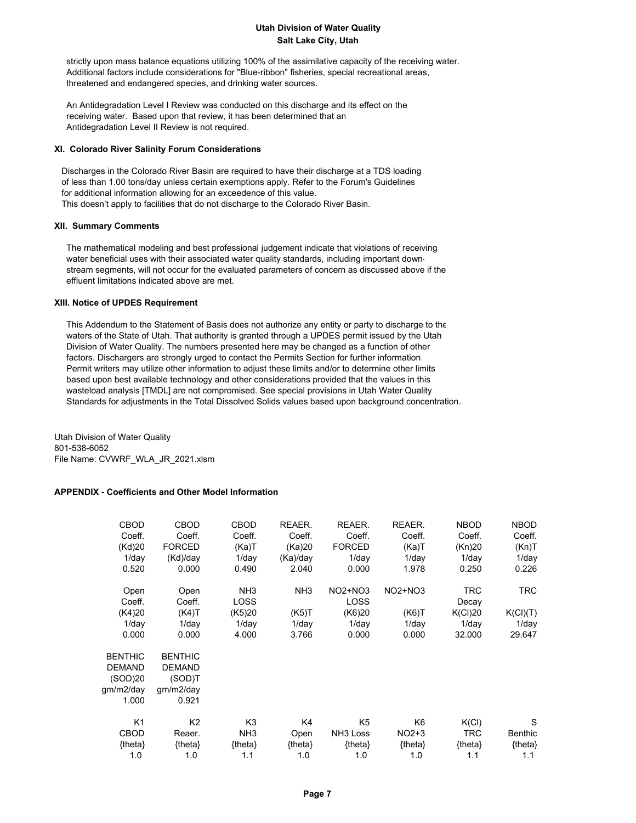strictly upon mass balance equations utilizing 100% of the assimilative capacity of the receiving water. Additional factors include considerations for "Blue-ribbon" fisheries, special recreational areas, threatened and endangered species, and drinking water sources.

 An Antidegradation Level I Review was conducted on this discharge and its effect on the receiving water. Based upon that review, it has been determined that an Antidegradation Level II Review is not required.

#### **XI. Colorado River Salinity Forum Considerations**

 Discharges in the Colorado River Basin are required to have their discharge at a TDS loading of less than 1.00 tons/day unless certain exemptions apply. Refer to the Forum's Guidelines for additional information allowing for an exceedence of this value. This doesn't apply to facilities that do not discharge to the Colorado River Basin.

#### **XII. Summary Comments**

 The mathematical modeling and best professional judgement indicate that violations of receiving water beneficial uses with their associated water quality standards, including important down stream segments, will not occur for the evaluated parameters of concern as discussed above if the effluent limitations indicated above are met.

#### **XIII. Notice of UPDES Requirement**

 This Addendum to the Statement of Basis does not authorize any entity or party to discharge to the waters of the State of Utah. That authority is granted through a UPDES permit issued by the Utah Division of Water Quality. The numbers presented here may be changed as a function of other factors. Dischargers are strongly urged to contact the Permits Section for further information. Permit writers may utilize other information to adjust these limits and/or to determine other limits based upon best available technology and other considerations provided that the values in this wasteload analysis [TMDL] are not compromised. See special provisions in Utah Water Quality Standards for adjustments in the Total Dissolved Solids values based upon background concentration.

Utah Division of Water Quality 801-538-6052 File Name: CVWRF\_WLA\_JR\_2021.xlsm

## **APPENDIX - Coefficients and Other Model Information**

| <b>CBOD</b>    | <b>CBOD</b>    | CBOD            | REAER.          | REAER.               | REAER.         | <b>NBOD</b> | <b>NBOD</b>    |
|----------------|----------------|-----------------|-----------------|----------------------|----------------|-------------|----------------|
| Coeff.         | Coeff.         | Coeff.          | Coeff.          | Coeff.               | Coeff.         | Coeff.      | Coeff.         |
| (Kd)20         | <b>FORCED</b>  | (Ka)T           | (Ka)20          | <b>FORCED</b>        | (Ka)T          | (Kn)20      | (Kn)T          |
| $1$ /day       | (Kd)/day       | $1$ /day        | (Ka)/day        | $1$ /day             | $1$ /day       | $1$ /day    | $1$ /day       |
| 0.520          | 0.000          | 0.490           | 2.040           | 0.000                | 1.978          | 0.250       | 0.226          |
| Open           | Open           | NH <sub>3</sub> | NH <sub>3</sub> | $NO2+NO3$            | <b>NO2+NO3</b> | <b>TRC</b>  | TRC.           |
| Coeff.         | Coeff.         | LOSS            |                 | <b>LOSS</b>          |                | Decay       |                |
| (K4)20         | (K4)T          | (K5)20          | (K5)T           | (K6)20               | (K6)T          | K(Cl)20     | K(Cl)(T)       |
| $1$ /day       | $1$ /day       | $1$ /day        | $1$ /day        | $1$ /day             | $1$ /day       | $1$ /day    | $1$ /day       |
| 0.000          | 0.000          | 4.000           | 3.766           | 0.000                | 0.000          | 32.000      | 29.647         |
| <b>BENTHIC</b> | <b>BENTHIC</b> |                 |                 |                      |                |             |                |
| <b>DEMAND</b>  | <b>DEMAND</b>  |                 |                 |                      |                |             |                |
| (SOD)20        | (SOD)T         |                 |                 |                      |                |             |                |
| qm/m2/day      | gm/m2/day      |                 |                 |                      |                |             |                |
| 1.000          | 0.921          |                 |                 |                      |                |             |                |
| K <sub>1</sub> | K <sub>2</sub> | K <sub>3</sub>  | K4              | K5                   | K6             | K(Cl)       | S              |
| <b>CBOD</b>    | Reaer.         | NH <sub>3</sub> | Open            | NH <sub>3</sub> Loss | $NO2+3$        | <b>TRC</b>  | <b>Benthic</b> |
| ${theta}$      | ${theta}$      | {theta}         | ${theta}$       | ${theta}$            | {theta}        | ${theta}$   | {theta}        |
| 1.0            | 1.0            | 1.1             | 1.0             | 1.0                  | 1.0            | 1.1         | 1.1            |